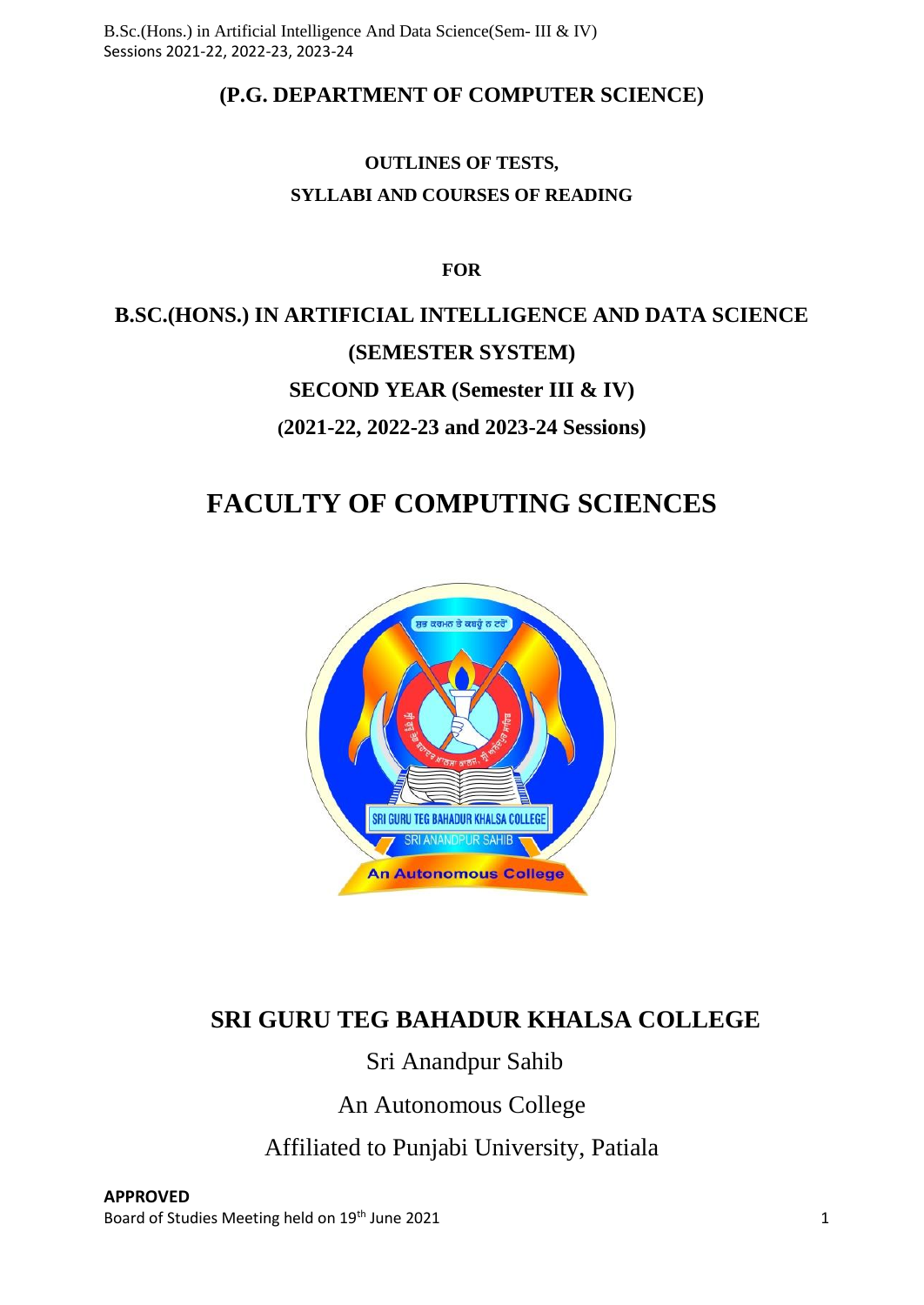# **(P.G. DEPARTMENT OF COMPUTER SCIENCE)**

# **OUTLINES OF TESTS, SYLLABI AND COURSES OF READING**

**FOR**

# **B.SC.(HONS.) IN ARTIFICIAL INTELLIGENCE AND DATA SCIENCE (SEMESTER SYSTEM) SECOND YEAR (Semester III & IV) (2021-22, 2022-23 and 2023-24 Sessions)**

# **FACULTY OF COMPUTING SCIENCES**



# **SRI GURU TEG BAHADUR KHALSA COLLEGE**

# Sri Anandpur Sahib

An Autonomous College

Affiliated to Punjabi University, Patiala

**APPROVED** Board of Studies Meeting held on 19<sup>th</sup> June 2021 1 1 200 1 200 1 200 1 200 1 200 1 200 1 200 1 200 1 200 1 200 1 200 1 200 1 200 1 200 1 200 1 200 1 200 1 200 1 200 1 200 1 200 1 200 1 200 1 200 1 200 1 200 1 200 1 200 1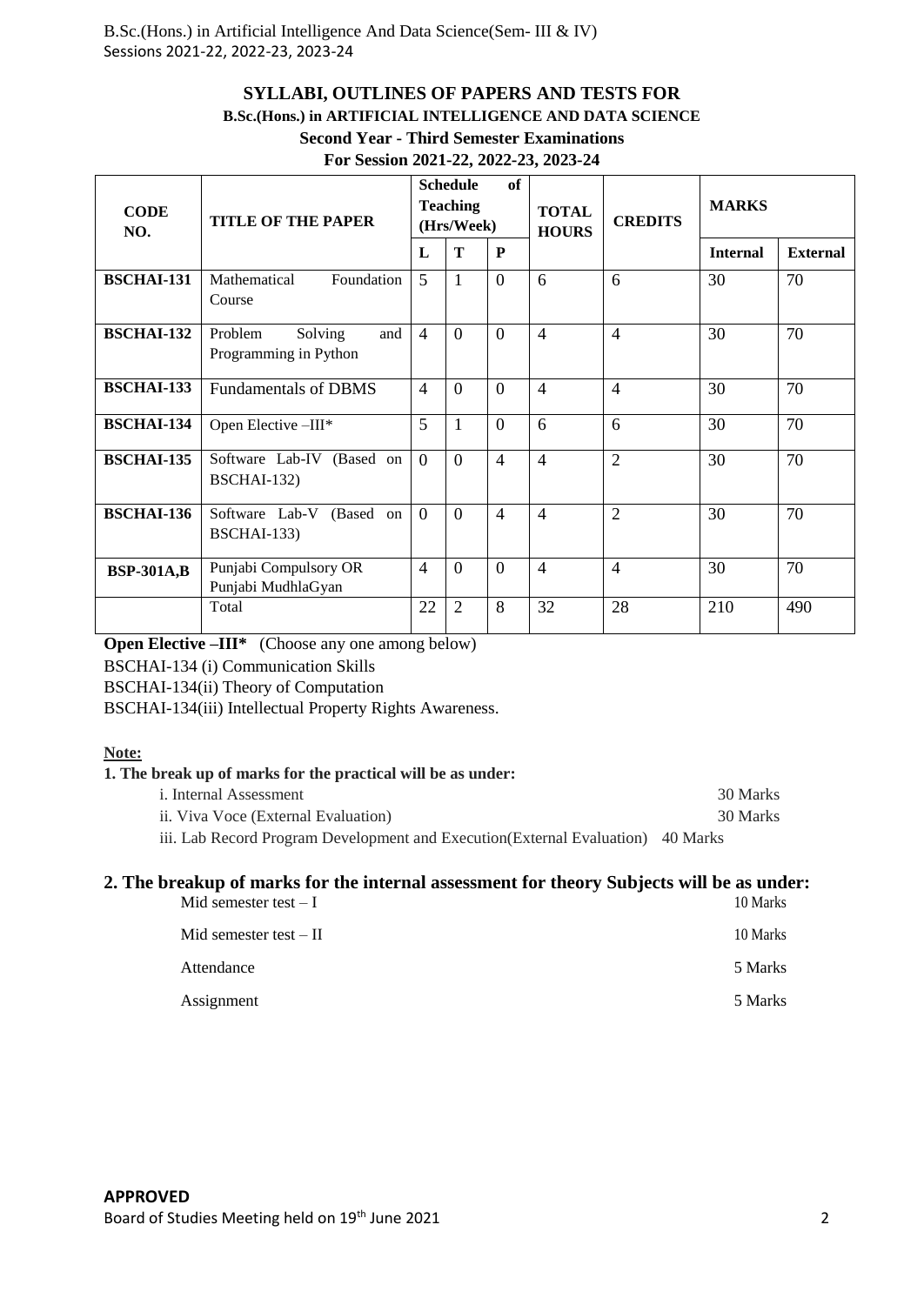# **SYLLABI, OUTLINES OF PAPERS AND TESTS FOR**

# **B.Sc.(Hons.) in ARTIFICIAL INTELLIGENCE AND DATA SCIENCE**

# **Second Year - Third Semester Examinations**

#### **For Session 2021-22, 2022-23, 2023-24**

| <b>CODE</b><br>NO. | <b>TITLE OF THE PAPER</b>                          |                | <b>Schedule</b><br><b>Teaching</b><br>(Hrs/Week) | of                       | <b>TOTAL</b><br><b>HOURS</b> | <b>CREDITS</b> | <b>MARKS</b>    |                 |
|--------------------|----------------------------------------------------|----------------|--------------------------------------------------|--------------------------|------------------------------|----------------|-----------------|-----------------|
|                    |                                                    | L              | T                                                | P                        |                              |                | <b>Internal</b> | <b>External</b> |
| <b>BSCHAI-131</b>  | Foundation<br>Mathematical<br>Course               | 5              | $\mathbf{1}$                                     | $\Omega$                 | 6                            | 6              | 30              | 70              |
| <b>BSCHAI-132</b>  | Problem<br>Solving<br>and<br>Programming in Python | $\overline{4}$ | $\Omega$                                         | $\Omega$                 | $\overline{4}$               | $\overline{4}$ | 30              | 70              |
| <b>BSCHAI-133</b>  | <b>Fundamentals of DBMS</b>                        | 4              | $\Omega$                                         | $\Omega$                 | $\overline{4}$               | $\overline{4}$ | 30              | 70              |
| <b>BSCHAI-134</b>  | Open Elective -III*                                | 5              |                                                  | $\Omega$                 | 6                            | 6              | 30              | 70              |
| <b>BSCHAI-135</b>  | Software Lab-IV (Based on<br>BSCHAI-132)           | $\Omega$       | $\Omega$                                         | $\overline{4}$           | $\overline{4}$               | $\overline{2}$ | 30              | 70              |
| <b>BSCHAI-136</b>  | Software Lab-V<br>(Based on<br>BSCHAI-133)         | $\Omega$       | $\Omega$                                         | $\overline{\mathcal{A}}$ | $\overline{4}$               | $\overline{2}$ | 30              | 70              |
| <b>BSP-301A,B</b>  | Punjabi Compulsory OR<br>Punjabi MudhlaGyan        | 4              | $\Omega$                                         | $\theta$                 | $\overline{4}$               | $\overline{4}$ | 30              | 70              |
|                    | Total                                              | 22             | 2                                                | 8                        | 32                           | 28             | 210             | 490             |

**Open Elective –III\*** (Choose any one among below) BSCHAI-134 (i) Communication Skills

BSCHAI-134(ii) Theory of Computation

BSCHAI-134(iii) Intellectual Property Rights Awareness.

#### **Note:**

#### **1. The break up of marks for the practical will be as under:**

|         | i. Internal Assessment              |                          |  |  |  |  | 30 Marks |
|---------|-------------------------------------|--------------------------|--|--|--|--|----------|
|         | ii. Viva Voce (External Evaluation) |                          |  |  |  |  | 30 Marks |
| 1.5 1.5 |                                     | $\sim$ 1 $\sim$ 1 $\sim$ |  |  |  |  |          |

iii. Lab Record Program Development and Execution(External Evaluation) 40 Marks

# **2. The breakup of marks for the internal assessment for theory Subjects will be as under:**

| Mid semester test $-I$   | 10 Marks |
|--------------------------|----------|
| Mid semester test $-$ II | 10 Marks |
| Attendance               | 5 Marks  |
| Assignment               | 5 Marks  |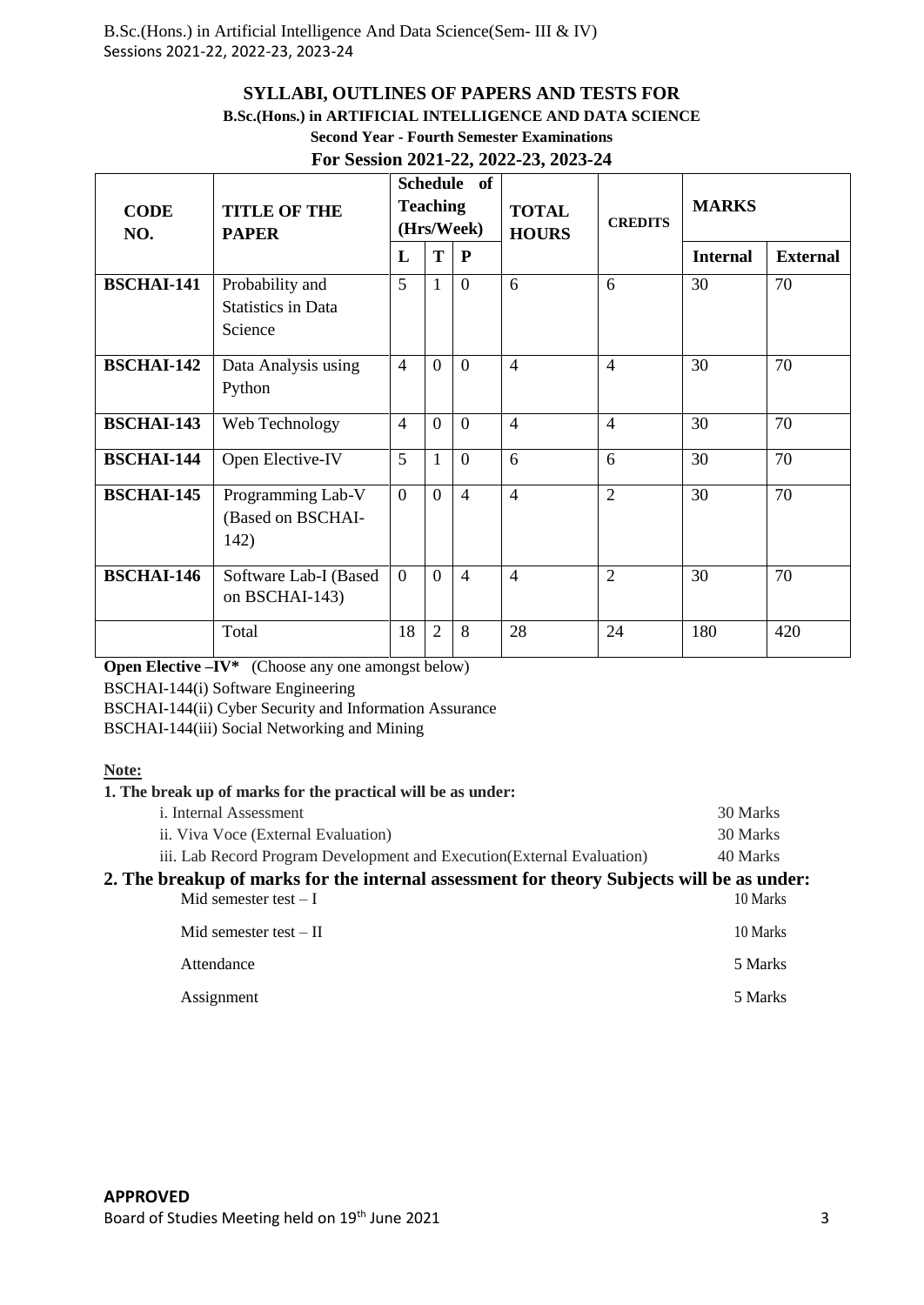# **SYLLABI, OUTLINES OF PAPERS AND TESTS FOR**

#### **B.Sc.(Hons.) in ARTIFICIAL INTELLIGENCE AND DATA SCIENCE**

# **Second Year - Fourth Semester Examinations**

# **For Session 2021-22, 2022-23, 2023-24**

| <b>CODE</b><br>NO. | <b>TITLE OF THE</b><br><b>PAPER</b>                     | <b>Schedule</b><br>of<br><b>Teaching</b><br>(Hrs/Week) |                |                | <b>TOTAL</b><br><b>HOURS</b> | <b>CREDITS</b> | <b>MARKS</b>    |                 |
|--------------------|---------------------------------------------------------|--------------------------------------------------------|----------------|----------------|------------------------------|----------------|-----------------|-----------------|
|                    |                                                         | L                                                      | T              | $\mathbf{P}$   |                              |                | <b>Internal</b> | <b>External</b> |
| <b>BSCHAI-141</b>  | Probability and<br><b>Statistics in Data</b><br>Science | 5                                                      | 1              | $\theta$       | 6                            | 6              | 30              | 70              |
| <b>BSCHAI-142</b>  | Data Analysis using<br>Python                           | $\overline{4}$                                         | $\Omega$       | $\Omega$       | $\overline{4}$               | $\overline{4}$ | 30              | 70              |
| <b>BSCHAI-143</b>  | Web Technology                                          | $\overline{4}$                                         | $\Omega$       | $\Omega$       | $\overline{4}$               | $\overline{4}$ | 30              | 70              |
| <b>BSCHAI-144</b>  | Open Elective-IV                                        | 5                                                      | 1              | $\theta$       | 6                            | 6              | 30              | 70              |
| <b>BSCHAI-145</b>  | Programming Lab-V<br>(Based on BSCHAI-<br>142)          | $\overline{0}$                                         | $\Omega$       | $\overline{4}$ | $\overline{4}$               | $\overline{2}$ | 30              | 70              |
| <b>BSCHAI-146</b>  | Software Lab-I (Based<br>on BSCHAI-143)                 | $\Omega$                                               | $\Omega$       | $\overline{4}$ | $\overline{4}$               | $\overline{2}$ | 30              | 70              |
|                    | Total                                                   | 18                                                     | $\overline{2}$ | 8              | 28                           | 24             | 180             | 420             |

**Open Elective –IV\*** (Choose any one amongst below)

BSCHAI-144(i) Software Engineering

BSCHAI-144(ii) Cyber Security and Information Assurance

BSCHAI-144(iii) Social Networking and Mining

#### **Note:**

#### **1. The break up of marks for the practical will be as under:**

| <i>i</i> . Internal Assessment                                                                                       | 30 Marks |
|----------------------------------------------------------------------------------------------------------------------|----------|
| ii. Viva Voce (External Evaluation)                                                                                  | 30 Marks |
| iii. Lab Record Program Development and Execution (External Evaluation)                                              | 40 Marks |
| 2. The breakup of marks for the internal assessment for theory Subjects will be as under:<br>Mid semester test $- I$ | 10 Marks |
| Mid semester test $-$ II                                                                                             | 10 Marks |
| Attendance                                                                                                           | 5 Marks  |
| Assignment                                                                                                           | 5 Marks  |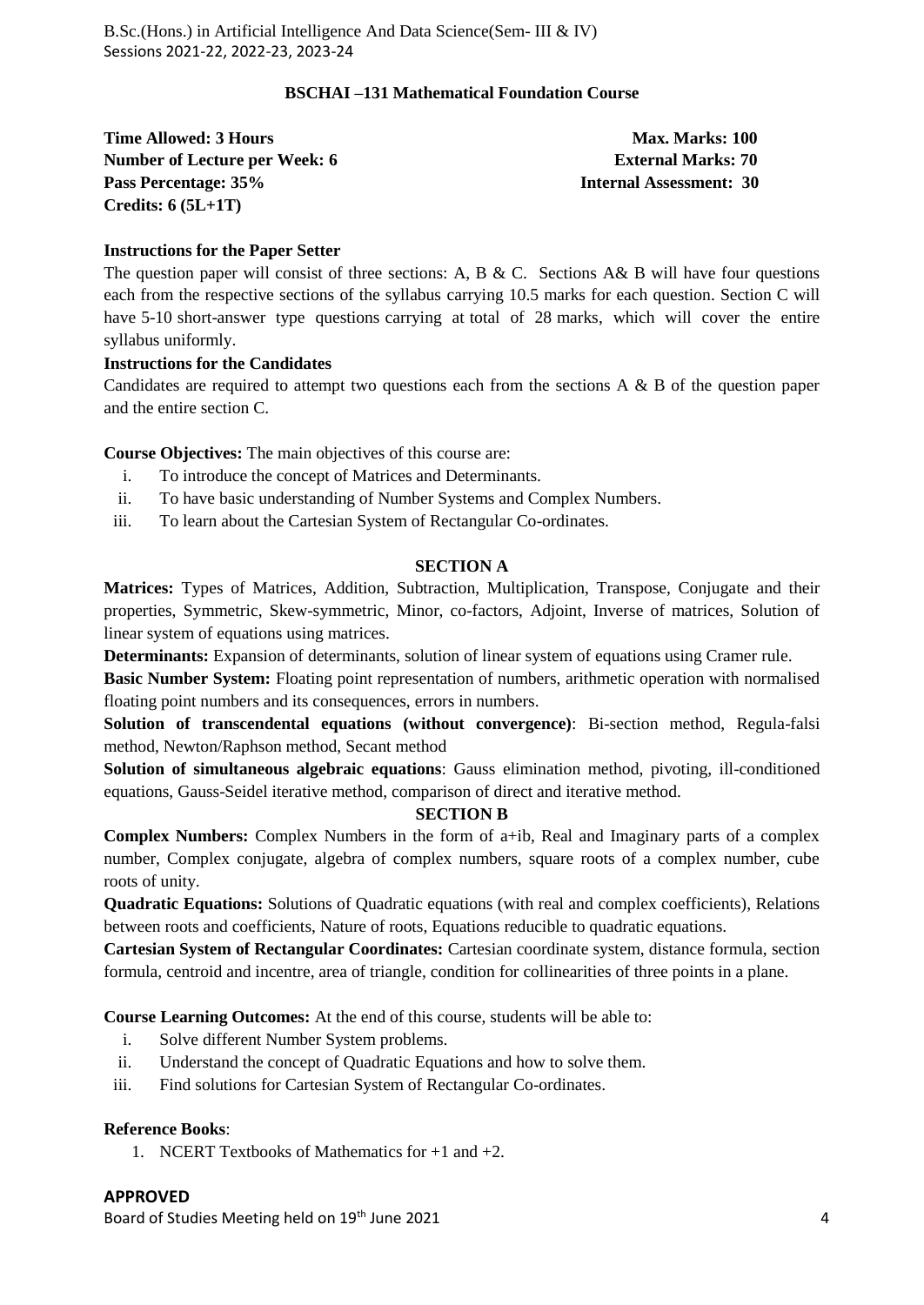#### **BSCHAI –131 Mathematical Foundation Course**

| <b>Time Allowed: 3 Hours</b>         | <b>Max. Marks: 100</b>         |
|--------------------------------------|--------------------------------|
| <b>Number of Lecture per Week: 6</b> | <b>External Marks: 70</b>      |
| Pass Percentage: 35%                 | <b>Internal Assessment: 30</b> |
| Credits: $6 (5L+1T)$                 |                                |

#### **Instructions for the Paper Setter**

The question paper will consist of three sections: A, B & C. Sections A& B will have four questions each from the respective sections of the syllabus carrying 10.5 marks for each question. Section C will have 5-10 short-answer type questions carrying at total of 28 marks, which will cover the entire syllabus uniformly.

#### **Instructions for the Candidates**

Candidates are required to attempt two questions each from the sections A  $\&$  B of the question paper and the entire section C.

**Course Objectives:** The main objectives of this course are:

- i. To introduce the concept of Matrices and Determinants.
- ii. To have basic understanding of Number Systems and Complex Numbers.
- iii. To learn about the Cartesian System of Rectangular Co-ordinates.

#### **SECTION A**

**Matrices:** Types of Matrices, Addition, Subtraction, Multiplication, Transpose, Conjugate and their properties, Symmetric, Skew-symmetric, Minor, co-factors, Adjoint, Inverse of matrices, Solution of linear system of equations using matrices.

**Determinants:** Expansion of determinants, solution of linear system of equations using Cramer rule.

**Basic Number System:** Floating point representation of numbers, arithmetic operation with normalised floating point numbers and its consequences, errors in numbers.

**Solution of transcendental equations (without convergence)**: Bi-section method, Regula-falsi method, Newton/Raphson method, Secant method

**Solution of simultaneous algebraic equations**: Gauss elimination method, pivoting, ill-conditioned equations, Gauss-Seidel iterative method, comparison of direct and iterative method.

#### **SECTION B**

**Complex Numbers:** Complex Numbers in the form of a+ib, Real and Imaginary parts of a complex number, Complex conjugate, algebra of complex numbers, square roots of a complex number, cube roots of unity.

**Quadratic Equations:** Solutions of Quadratic equations (with real and complex coefficients), Relations between roots and coefficients, Nature of roots, Equations reducible to quadratic equations.

**Cartesian System of Rectangular Coordinates:** Cartesian coordinate system, distance formula, section formula, centroid and incentre, area of triangle, condition for collinearities of three points in a plane.

**Course Learning Outcomes:** At the end of this course, students will be able to:

- i. Solve different Number System problems.
- ii. Understand the concept of Quadratic Equations and how to solve them.
- iii. Find solutions for Cartesian System of Rectangular Co-ordinates.

#### **Reference Books**:

1. NCERT Textbooks of Mathematics for  $+1$  and  $+2$ .

#### **APPROVED**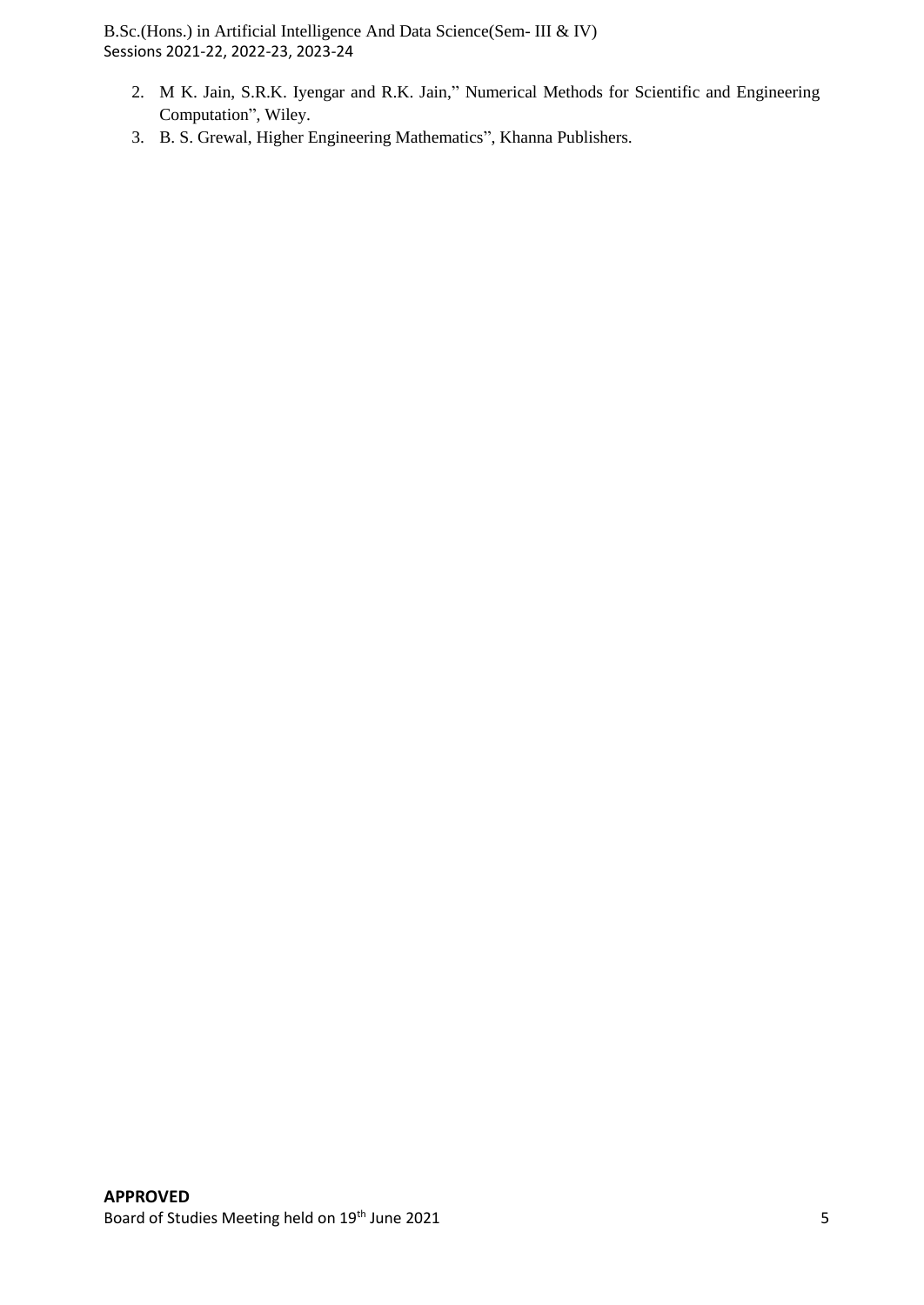- 2. M K. Jain, S.R.K. Iyengar and R.K. Jain," Numerical Methods for Scientific and Engineering Computation", Wiley.
- 3. B. S. Grewal, Higher Engineering Mathematics", Khanna Publishers.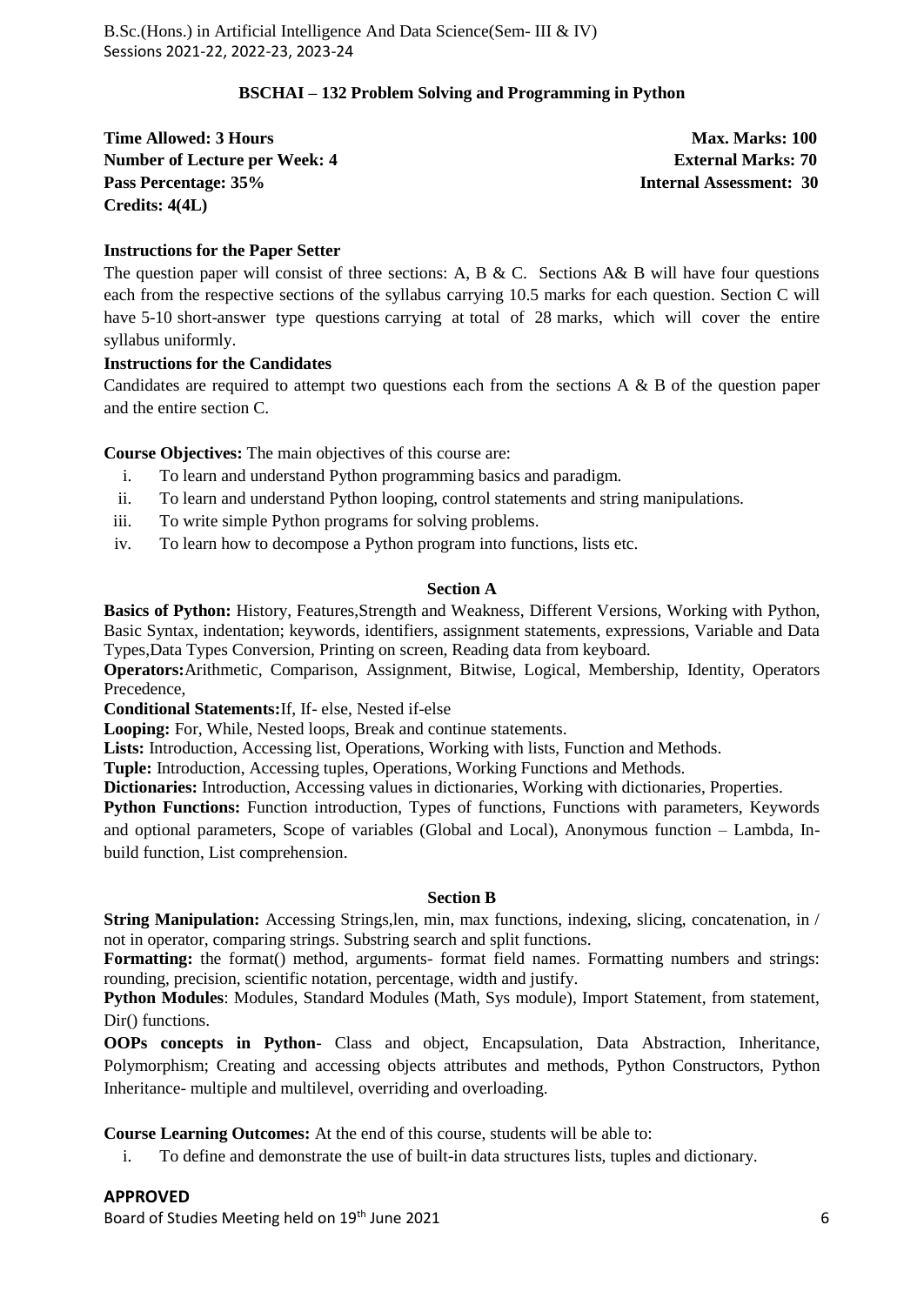#### **BSCHAI – 132 Problem Solving and Programming in Python**

**Time Allowed: 3 Hours Max. Marks: 100 Number of Lecture per Week: 4 2 | External Marks: 70 | External Marks: 70 | External Marks: 70 | External Marks: 70 | External Marks: 70 | External Marks: 70 | External Marks: 70 | External Marks: 70 | External Marks: 70 Pass Percentage: 35% Internal Assessment: 30 Credits: 4(4L)**

#### **Instructions for the Paper Setter**

The question paper will consist of three sections: A, B & C. Sections A& B will have four questions each from the respective sections of the syllabus carrying 10.5 marks for each question. Section C will have 5-10 short-answer type questions carrying at total of 28 marks, which will cover the entire syllabus uniformly.

#### **Instructions for the Candidates**

Candidates are required to attempt two questions each from the sections A  $\&$  B of the question paper and the entire section C.

**Course Objectives:** The main objectives of this course are:

- i. To learn and understand Python programming basics and paradigm.
- ii. To learn and understand Python looping, control statements and string manipulations.
- iii. To write simple Python programs for solving problems.
- iv. To learn how to decompose a Python program into functions, lists etc.

#### **Section A**

**Basics of Python:** History, Features,Strength and Weakness, Different Versions, Working with Python, Basic Syntax, indentation; keywords, identifiers, assignment statements, expressions, Variable and Data Types,Data Types Conversion, Printing on screen, Reading data from keyboard.

**Operators:**Arithmetic, Comparison, Assignment, Bitwise, Logical, Membership, Identity, Operators Precedence,

**Conditional Statements:**If, If- else, Nested if-else

**Looping:** For, While, Nested loops, Break and continue statements.

**Lists:** Introduction, Accessing list, Operations, Working with lists, Function and Methods.

**Tuple:** Introduction, Accessing tuples, Operations, Working Functions and Methods.

**Dictionaries:** Introduction, Accessing values in dictionaries, Working with dictionaries, Properties.

Python Functions: Function introduction, Types of functions, Functions with parameters, Keywords

and optional parameters, Scope of variables (Global and Local), Anonymous function – Lambda, Inbuild function, List comprehension.

#### **Section B**

**String Manipulation:** Accessing Strings, len, min, max functions, indexing, slicing, concatenation, in / not in operator, comparing strings. Substring search and split functions.

**Formatting:** the format() method, arguments- format field names. Formatting numbers and strings: rounding, precision, scientific notation, percentage, width and justify.

**Python Modules**: Modules, Standard Modules (Math, Sys module), Import Statement, from statement, Dir() functions.

**OOPs concepts in Python**- Class and object, Encapsulation, Data Abstraction, Inheritance, Polymorphism; Creating and accessing objects attributes and methods, Python Constructors, Python Inheritance- multiple and multilevel, overriding and overloading.

**Course Learning Outcomes:** At the end of this course, students will be able to:

i. To define and demonstrate the use of built-in data structures lists, tuples and dictionary.

**APPROVED**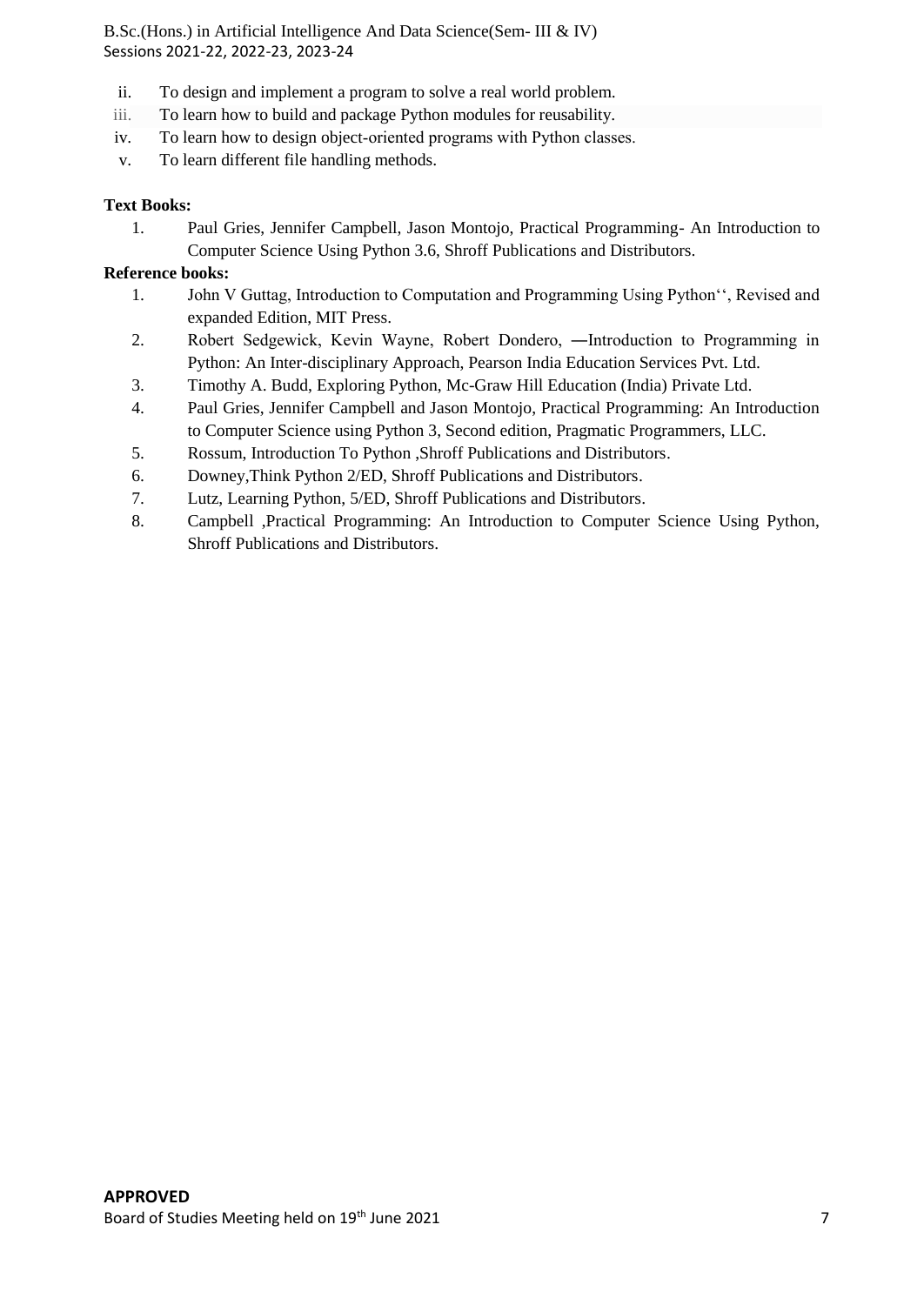- ii. To design and implement a program to solve a real world problem.
- iii. To learn how to build and package Python modules for reusability.
- iv. To learn how to design object-oriented programs with Python classes.
- v. To learn different file handling methods.

#### **Text Books:**

1. Paul Gries, Jennifer Campbell, Jason Montojo, Practical Programming- An Introduction to Computer Science Using Python 3.6, Shroff Publications and Distributors.

#### **Reference books:**

- 1. John V Guttag, Introduction to Computation and Programming Using Python'', Revised and expanded Edition, MIT Press.
- 2. Robert Sedgewick, Kevin Wayne, Robert Dondero, ―Introduction to Programming in Python: An Inter-disciplinary Approach, Pearson India Education Services Pvt. Ltd.
- 3. Timothy A. Budd, Exploring Python, Mc-Graw Hill Education (India) Private Ltd.
- 4. Paul Gries, Jennifer Campbell and Jason Montojo, Practical Programming: An Introduction to Computer Science using Python 3, Second edition, Pragmatic Programmers, LLC.
- 5. Rossum, Introduction To Python ,Shroff Publications and Distributors.
- 6. Downey,Think Python 2/ED, Shroff Publications and Distributors.
- 7. Lutz, Learning Python, 5/ED, Shroff Publications and Distributors.
- 8. Campbell ,Practical Programming: An Introduction to Computer Science Using Python, Shroff Publications and Distributors.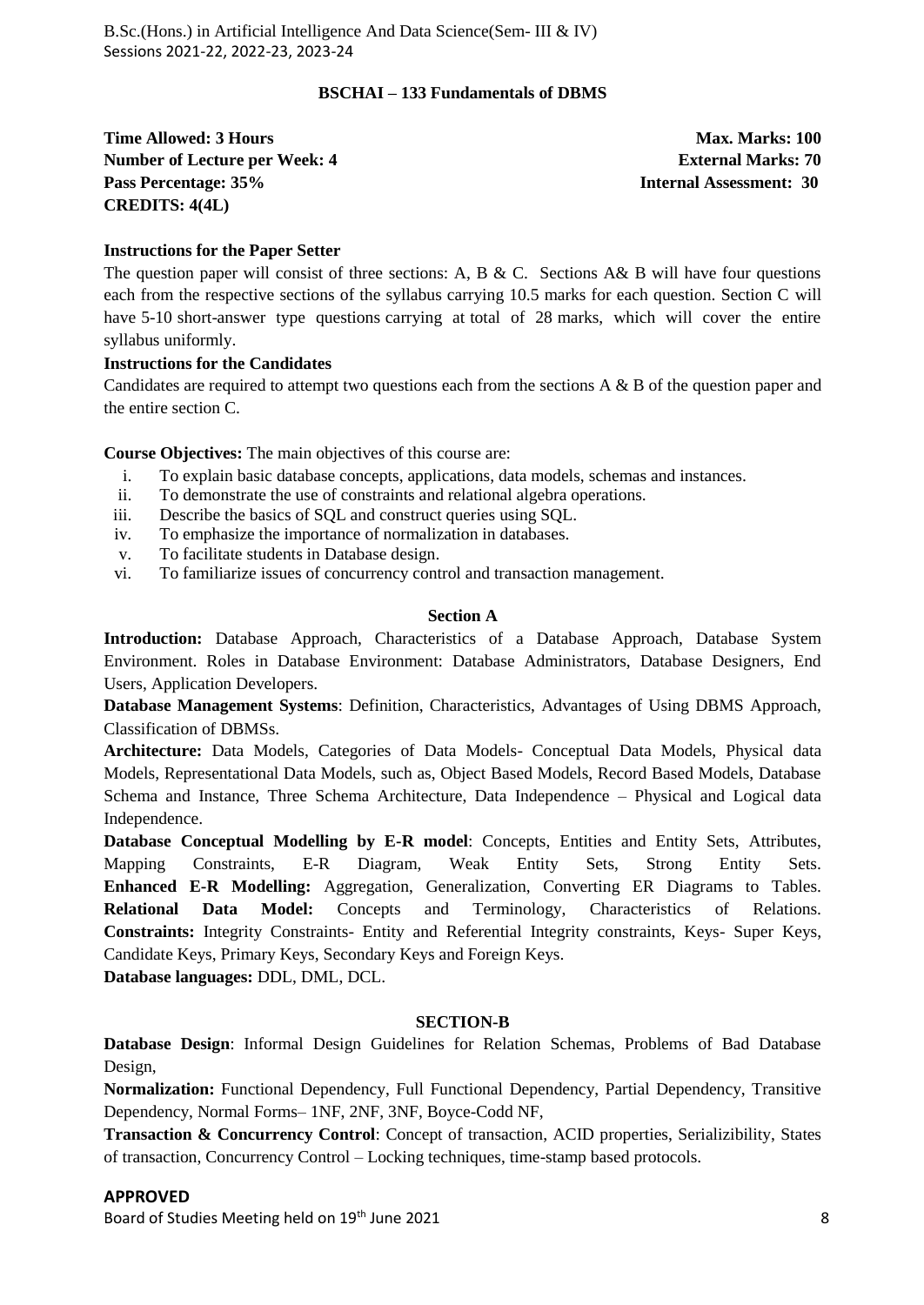#### **BSCHAI – 133 Fundamentals of DBMS**

**Time Allowed: 3 Hours Max. Marks: 100 Number of Lecture per Week: 4 2 | External Marks: 70 | External Marks: 70 | External Marks: 70 | External Marks: 70 | External Marks: 70 | External Marks: 70 | External Marks: 70 | External Marks: 70 | External Marks: 70 Pass Percentage: 35% Internal Assessment: 30 CREDITS: 4(4L)**

#### **Instructions for the Paper Setter**

The question paper will consist of three sections: A, B & C. Sections A& B will have four questions each from the respective sections of the syllabus carrying 10.5 marks for each question. Section C will have 5-10 short-answer type questions carrying at total of 28 marks, which will cover the entire syllabus uniformly.

#### **Instructions for the Candidates**

Candidates are required to attempt two questions each from the sections A & B of the question paper and the entire section C.

**Course Objectives:** The main objectives of this course are:

- i. To explain basic database concepts, applications, data models, schemas and instances.
- ii. To demonstrate the use of constraints and relational algebra operations.
- iii. Describe the basics of SQL and construct queries using SQL.
- iv. To emphasize the importance of normalization in databases.
- v. To facilitate students in Database design.
- vi. To familiarize issues of concurrency control and transaction management.

#### **Section A**

**Introduction:** Database Approach, Characteristics of a Database Approach, Database System Environment. Roles in Database Environment: Database Administrators, Database Designers, End Users, Application Developers.

**Database Management Systems**: Definition, Characteristics, Advantages of Using DBMS Approach, Classification of DBMSs.

**Architecture:** Data Models, Categories of Data Models- Conceptual Data Models, Physical data Models, Representational Data Models, such as, Object Based Models, Record Based Models, Database Schema and Instance, Three Schema Architecture, Data Independence – Physical and Logical data Independence.

**Database Conceptual Modelling by E-R model**: Concepts, Entities and Entity Sets, Attributes, Mapping Constraints, E-R Diagram, Weak Entity Sets, Strong Entity Sets. **Enhanced E-R Modelling:** Aggregation, Generalization, Converting ER Diagrams to Tables. **Relational Data Model:** Concepts and Terminology, Characteristics of Relations. **Constraints:** Integrity Constraints- Entity and Referential Integrity constraints, Keys- Super Keys, Candidate Keys, Primary Keys, Secondary Keys and Foreign Keys.

**Database languages:** DDL, DML, DCL.

#### **SECTION-B**

**Database Design**: Informal Design Guidelines for Relation Schemas, Problems of Bad Database Design,

**Normalization:** Functional Dependency, Full Functional Dependency, Partial Dependency, Transitive Dependency, Normal Forms– 1NF, 2NF, 3NF, Boyce-Codd NF,

**Transaction & Concurrency Control**: Concept of transaction, ACID properties, Serializibility, States of transaction, Concurrency Control – Locking techniques, time-stamp based protocols.

#### **APPROVED**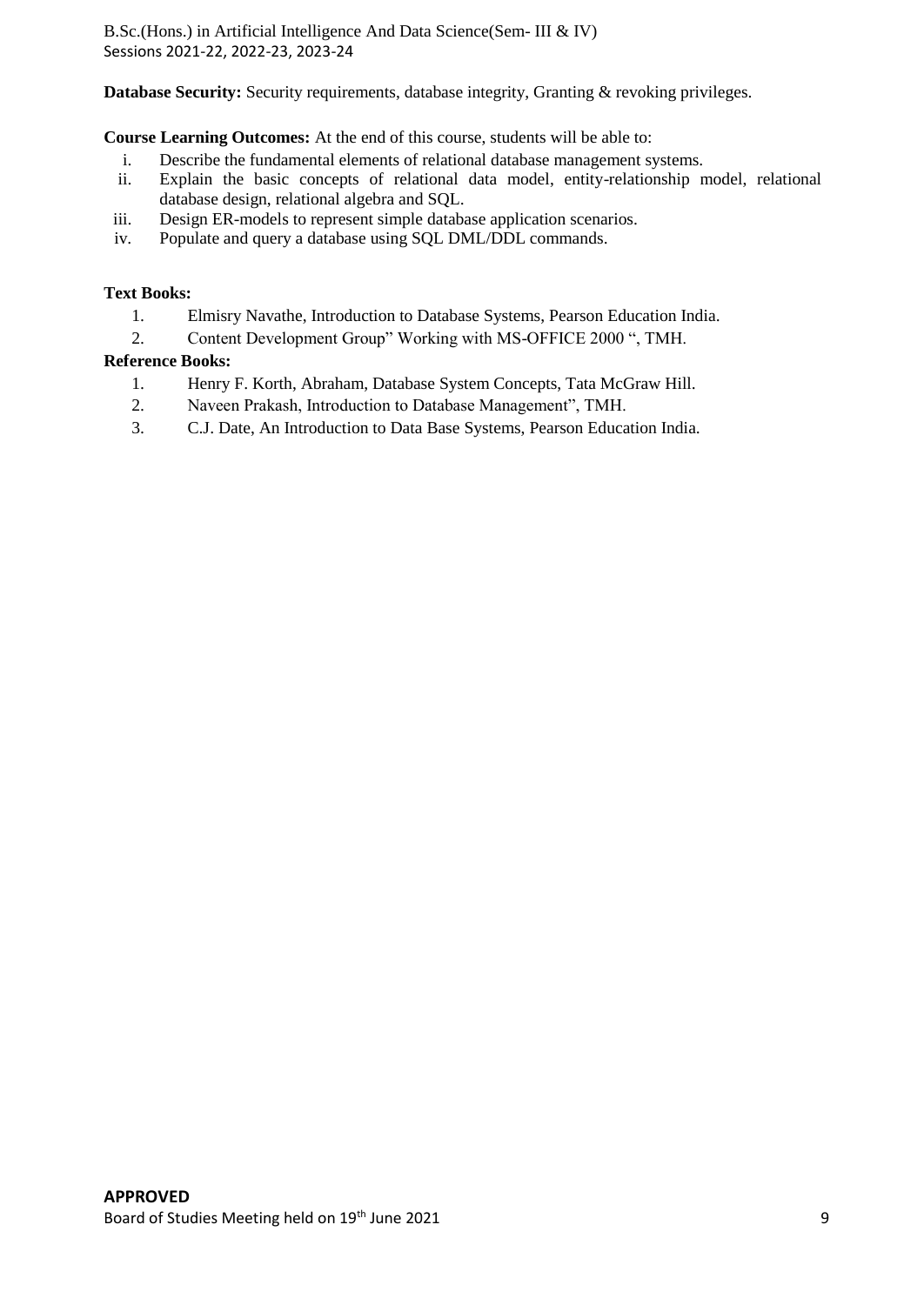**Database Security:** Security requirements, database integrity, Granting & revoking privileges.

**Course Learning Outcomes:** At the end of this course, students will be able to:

- i. Describe the fundamental elements of relational database management systems.<br>ii. Explain the basic concepts of relational data model, entity-relationship n
- Explain the basic concepts of relational data model, entity-relationship model, relational database design, relational algebra and SQL.
- iii. Design ER-models to represent simple database application scenarios.
- iv. Populate and query a database using SQL DML/DDL commands.

#### **Text Books:**

- 1. Elmisry Navathe, Introduction to Database Systems, Pearson Education India.
- 2. Content Development Group" Working with MS-OFFICE 2000 ", TMH.

#### **Reference Books:**

- 1. Henry F. Korth, Abraham, Database System Concepts, Tata McGraw Hill.
- 2. Naveen Prakash, Introduction to Database Management", TMH.
- 3. C.J. Date, An Introduction to Data Base Systems, Pearson Education India.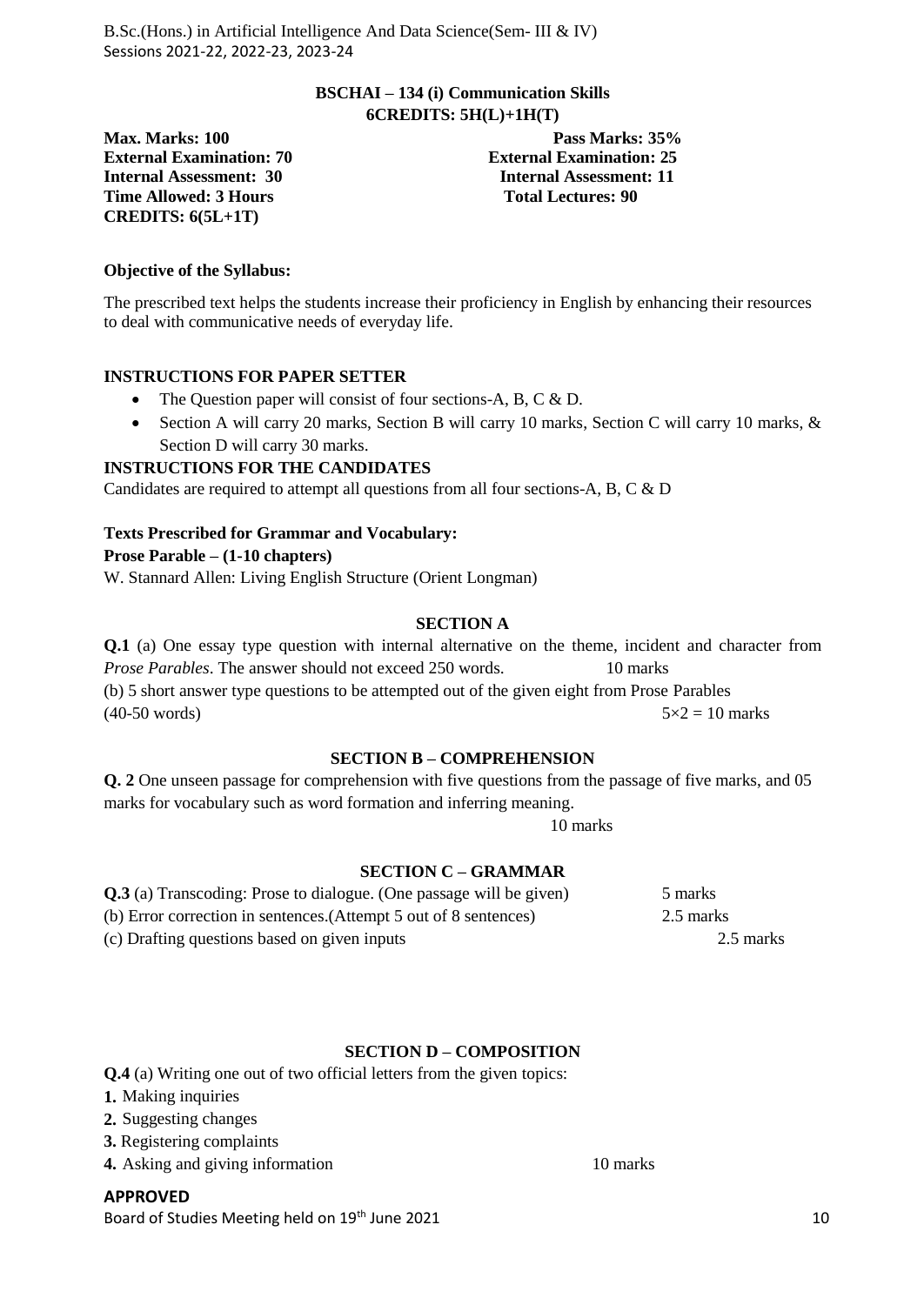#### **BSCHAI – 134 (i) Communication Skills 6CREDITS: 5H(L)+1H(T)**

External Examination: 70<br> **External Examination: 25**<br> **Internal Assessment: 30**<br> **Internal Assessment: 11 Time Allowed: 3 Hours CREDITS: 6(5L+1T)**

**Max. Marks: 100 Pass Marks: 35% Internal Assessment: 11**<br>Total Lectures: 90

#### **Objective of the Syllabus:**

The prescribed text helps the students increase their proficiency in English by enhancing their resources to deal with communicative needs of everyday life.

#### **INSTRUCTIONS FOR PAPER SETTER**

- The Question paper will consist of four sections-A, B, C & D.
- Section A will carry 20 marks, Section B will carry 10 marks, Section C will carry 10 marks, & Section D will carry 30 marks.

#### **INSTRUCTIONS FOR THE CANDIDATES**

Candidates are required to attempt all questions from all four sections-A, B, C & D

#### **Texts Prescribed for Grammar and Vocabulary:**

#### **Prose Parable – (1-10 chapters)**

W. Stannard Allen: Living English Structure (Orient Longman)

#### **SECTION A**

**Q.1** (a) One essay type question with internal alternative on the theme, incident and character from *Prose Parables*. The answer should not exceed 250 words. 10 marks (b) 5 short answer type questions to be attempted out of the given eight from Prose Parables  $(40-50 \text{ words})$   $5 \times 2 = 10 \text{ marks}$ 

#### **SECTION B – COMPREHENSION**

**Q. 2** One unseen passage for comprehension with five questions from the passage of five marks, and 05 marks for vocabulary such as word formation and inferring meaning.

10 marks

#### **SECTION C – GRAMMAR**

| <b>Q.3</b> (a) Transcoding: Prose to dialogue. (One passage will be given) | 5 marks   |
|----------------------------------------------------------------------------|-----------|
| (b) Error correction in sentences. (Attempt 5 out of 8 sentences)          | 2.5 marks |
| (c) Drafting questions based on given inputs                               | 2.5 marks |

#### **SECTION D – COMPOSITION**

**Q.4** (a) Writing one out of two official letters from the given topics:

- **1.** Making inquiries
- **2.** Suggesting changes
- **3.** Registering complaints
- **4.** Asking and giving information 10 marks

**APPROVED** Board of Studies Meeting held on 19<sup>th</sup> June 2021 10 and the studies of the studies of the studies of the studies of the studies of the studies of the studies of the studies of the studies of the studies of the studies of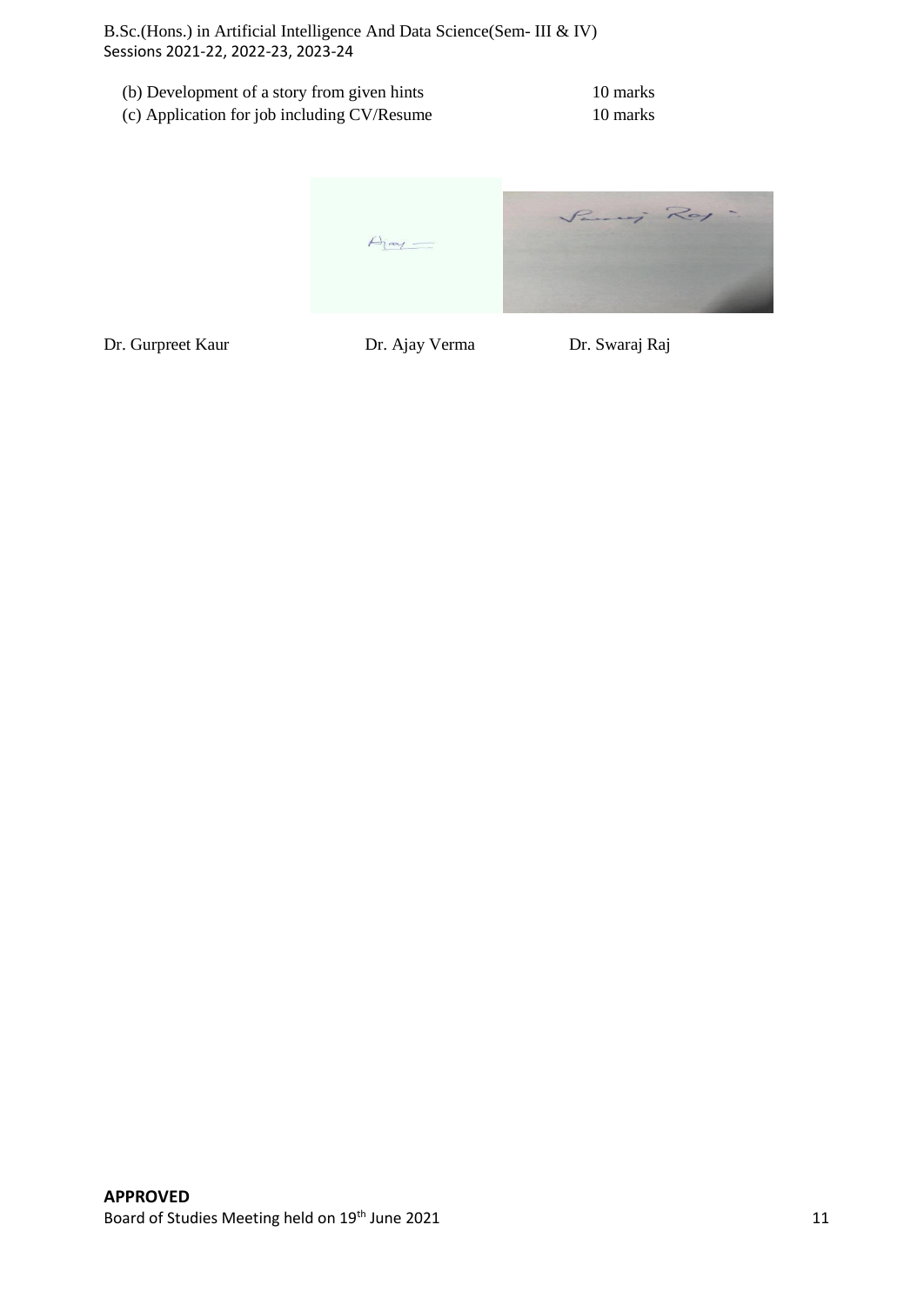| (b) Development of a story from given hints | 10 marks |
|---------------------------------------------|----------|
| (c) Application for job including CV/Resume | 10 marks |

Paris Roy  $A<sub>j</sub>$ 

Dr. Gurpreet Kaur Dr. Ajay Verma Dr. Swaraj Raj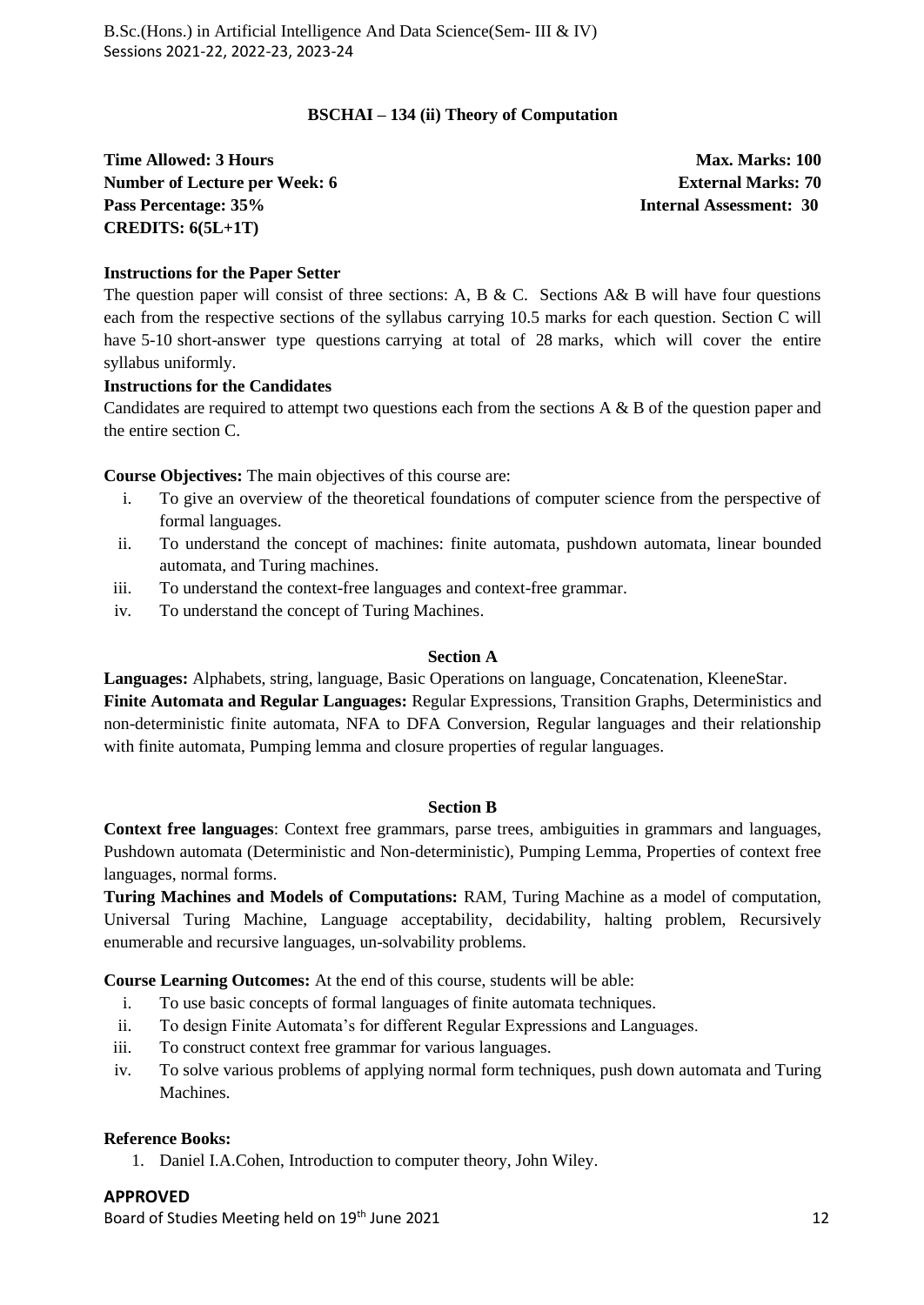# **BSCHAI – 134 (ii) Theory of Computation**

**Time Allowed: 3 Hours Max. Marks: 100 Max. Marks: 100 Number of Lecture per Week: 6 <b>External Marks: 70 External Marks: 70 Pass Percentage: 35% Internal Assessment: 30 CREDITS: 6(5L+1T)**

#### **Instructions for the Paper Setter**

The question paper will consist of three sections: A, B & C. Sections A& B will have four questions each from the respective sections of the syllabus carrying 10.5 marks for each question. Section C will have 5-10 short-answer type questions carrying at total of 28 marks, which will cover the entire syllabus uniformly.

#### **Instructions for the Candidates**

Candidates are required to attempt two questions each from the sections A & B of the question paper and the entire section C.

**Course Objectives:** The main objectives of this course are:

- i. To give an overview of the theoretical foundations of computer science from the perspective of formal languages.
- ii. To understand the concept of machines: finite automata, pushdown automata, linear bounded automata, and Turing machines.
- iii. To understand the context-free languages and context-free grammar.
- iv. To understand the concept of Turing Machines.

#### **Section A**

**Languages:** Alphabets, string, language, Basic Operations on language, Concatenation, KleeneStar. **Finite Automata and Regular Languages:** Regular Expressions, Transition Graphs, Deterministics and non-deterministic finite automata, NFA to DFA Conversion, Regular languages and their relationship with finite automata, Pumping lemma and closure properties of regular languages.

#### **Section B**

**Context free languages**: Context free grammars, parse trees, ambiguities in grammars and languages, Pushdown automata (Deterministic and Non-deterministic), Pumping Lemma, Properties of context free languages, normal forms.

**Turing Machines and Models of Computations:** RAM, Turing Machine as a model of computation, Universal Turing Machine, Language acceptability, decidability, halting problem, Recursively enumerable and recursive languages, un-solvability problems.

**Course Learning Outcomes:** At the end of this course, students will be able:

- i. To use basic concepts of formal languages of finite automata techniques.
- ii. To design Finite Automata's for different Regular Expressions and Languages.
- iii. To construct context free grammar for various languages.
- iv. To solve various problems of applying normal form techniques, push down automata and Turing Machines.

#### **Reference Books:**

1. Daniel I.A.Cohen, Introduction to computer theory, John Wiley.

#### **APPROVED**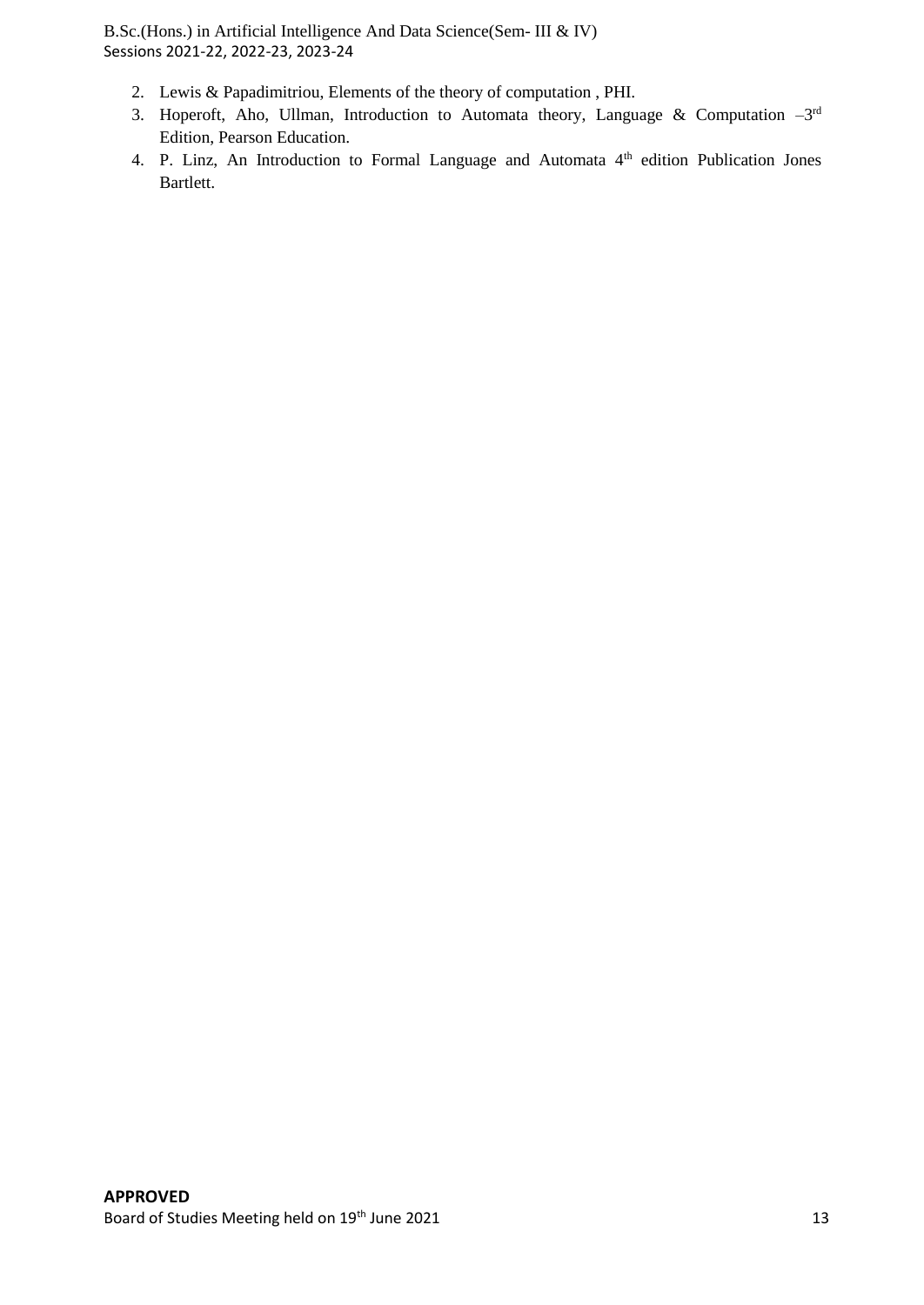- 2. Lewis & Papadimitriou, Elements of the theory of computation , PHI.
- 3. Hoperoft, Aho, Ullman, Introduction to Automata theory, Language & Computation  $-3<sup>rd</sup>$ Edition, Pearson Education.
- 4. P. Linz, An Introduction to Formal Language and Automata 4th edition Publication Jones Bartlett.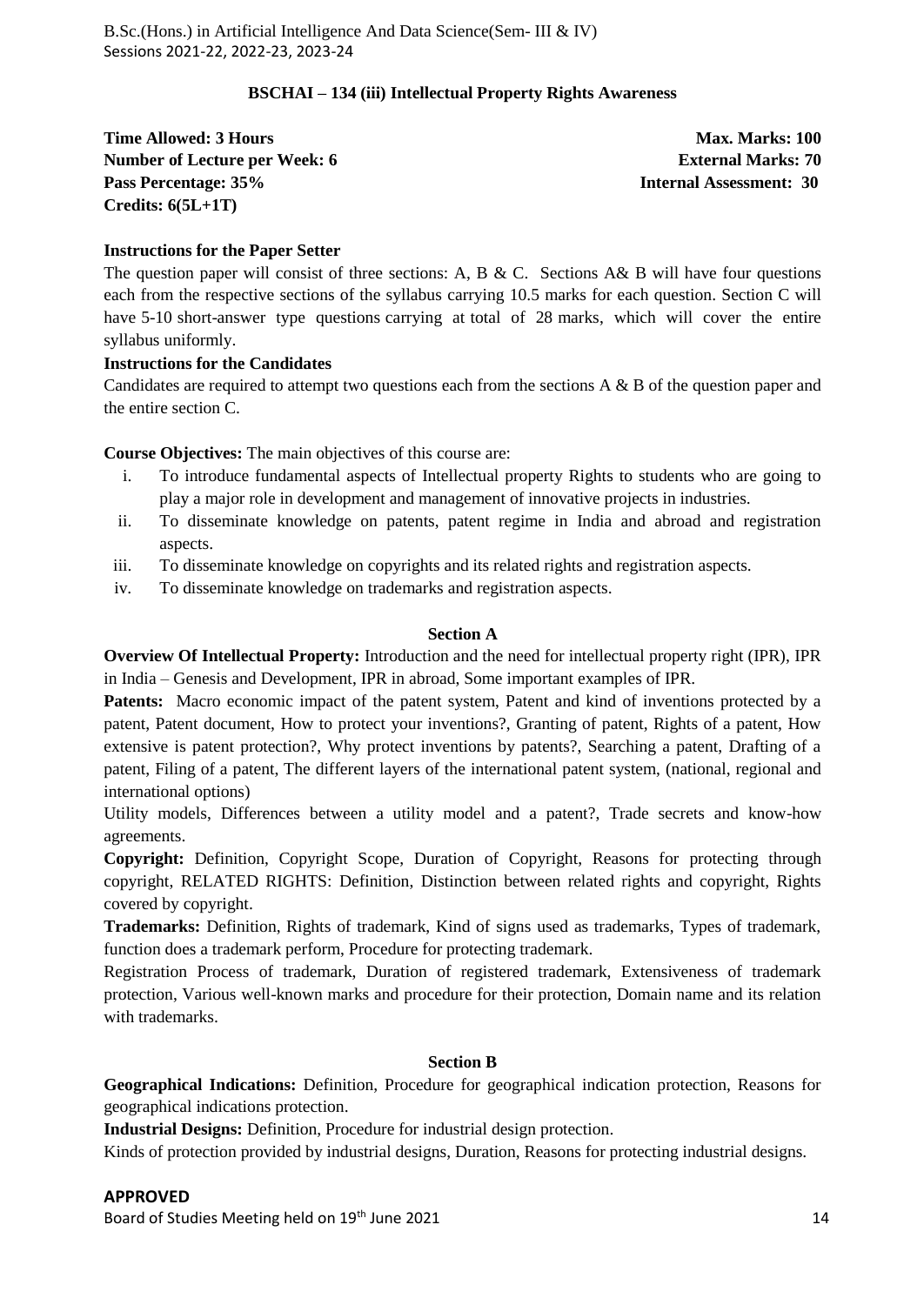#### **BSCHAI – 134 (iii) Intellectual Property Rights Awareness**

**Time Allowed: 3 Hours Max. Marks: 100 Max. Marks: 100 Number of Lecture per Week: 6 External Marks: 70 Pass Percentage: 35% Internal Assessment: 30 Credits: 6(5L+1T)**

#### **Instructions for the Paper Setter**

The question paper will consist of three sections: A, B & C. Sections A& B will have four questions each from the respective sections of the syllabus carrying 10.5 marks for each question. Section C will have 5-10 short-answer type questions carrying at total of 28 marks, which will cover the entire syllabus uniformly.

#### **Instructions for the Candidates**

Candidates are required to attempt two questions each from the sections A & B of the question paper and the entire section C.

**Course Objectives:** The main objectives of this course are:

- i. To introduce fundamental aspects of Intellectual property Rights to students who are going to play a major role in development and management of innovative projects in industries.
- ii. To disseminate knowledge on patents, patent regime in India and abroad and registration aspects.
- iii. To disseminate knowledge on copyrights and its related rights and registration aspects.
- iv. To disseminate knowledge on trademarks and registration aspects.

#### **Section A**

**Overview Of Intellectual Property:** Introduction and the need for intellectual property right (IPR), IPR in India – Genesis and Development, IPR in abroad, Some important examples of IPR.

**Patents:** Macro economic impact of the patent system, Patent and kind of inventions protected by a patent, Patent document, How to protect your inventions?, Granting of patent, Rights of a patent, How extensive is patent protection?, Why protect inventions by patents?, Searching a patent, Drafting of a patent, Filing of a patent, The different layers of the international patent system, (national, regional and international options)

Utility models, Differences between a utility model and a patent?, Trade secrets and know-how agreements.

**Copyright:** Definition, Copyright Scope, Duration of Copyright, Reasons for protecting through copyright, RELATED RIGHTS: Definition, Distinction between related rights and copyright, Rights covered by copyright.

**Trademarks:** Definition, Rights of trademark, Kind of signs used as trademarks, Types of trademark, function does a trademark perform, Procedure for protecting trademark.

Registration Process of trademark, Duration of registered trademark, Extensiveness of trademark protection, Various well-known marks and procedure for their protection, Domain name and its relation with trademarks.

#### **Section B**

**Geographical Indications:** Definition, Procedure for geographical indication protection, Reasons for geographical indications protection.

**Industrial Designs:** Definition, Procedure for industrial design protection.

Kinds of protection provided by industrial designs, Duration, Reasons for protecting industrial designs.

#### **APPROVED**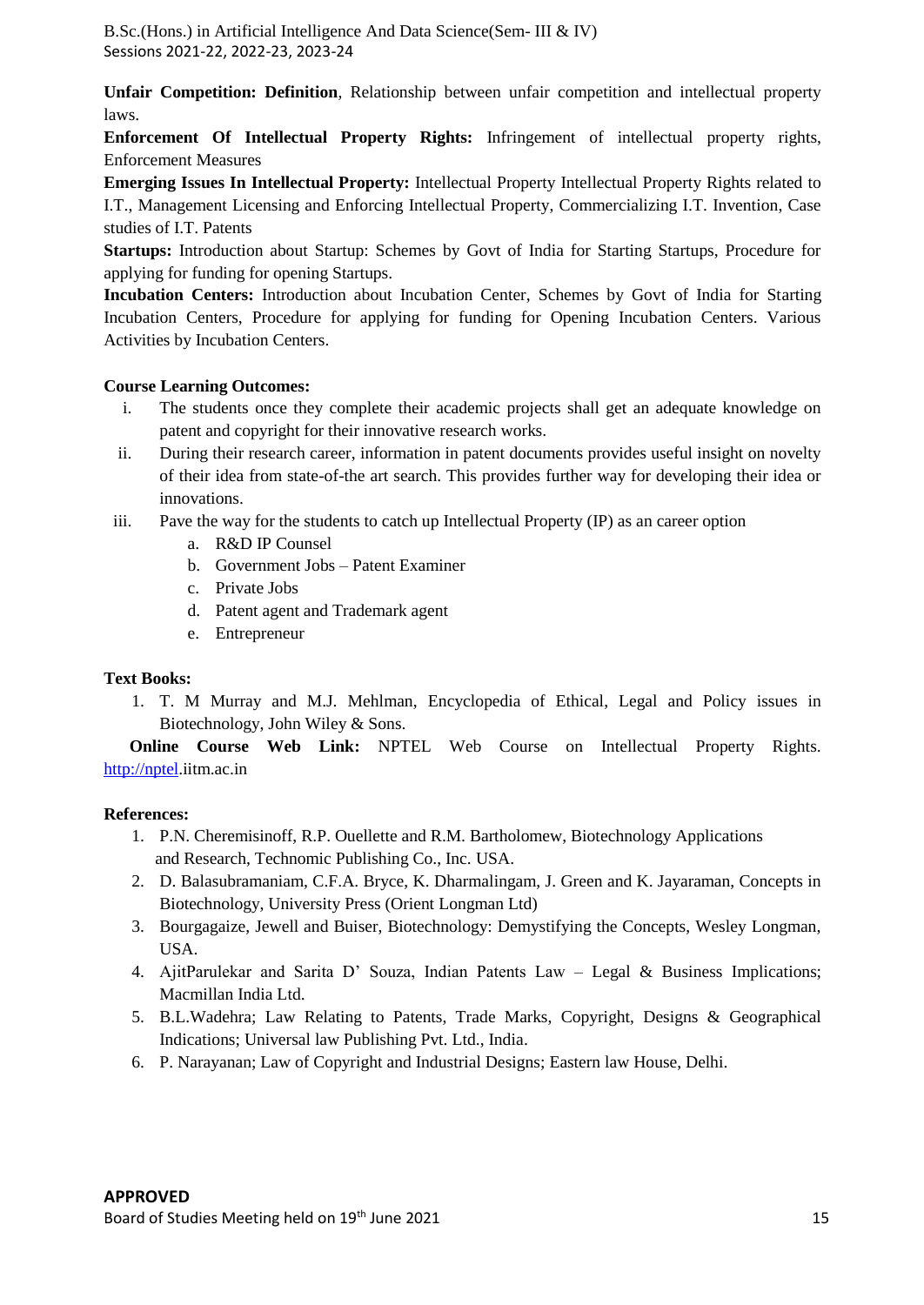**Unfair Competition: Definition**, Relationship between unfair competition and intellectual property laws.

**Enforcement Of Intellectual Property Rights:** Infringement of intellectual property rights, Enforcement Measures

**Emerging Issues In Intellectual Property:** Intellectual Property Intellectual Property Rights related to I.T., Management Licensing and Enforcing Intellectual Property, Commercializing I.T. Invention, Case studies of I.T. Patents

**Startups:** Introduction about Startup: Schemes by Govt of India for Starting Startups, Procedure for applying for funding for opening Startups.

**Incubation Centers:** Introduction about Incubation Center, Schemes by Govt of India for Starting Incubation Centers, Procedure for applying for funding for Opening Incubation Centers. Various Activities by Incubation Centers.

#### **Course Learning Outcomes:**

- i. The students once they complete their academic projects shall get an adequate knowledge on patent and copyright for their innovative research works.
- ii. During their research career, information in patent documents provides useful insight on novelty of their idea from state-of-the art search. This provides further way for developing their idea or innovations.
- iii. Pave the way for the students to catch up Intellectual Property (IP) as an career option
	- a. R&D IP Counsel
		- b. Government Jobs Patent Examiner
		- c. Private Jobs
		- d. Patent agent and Trademark agent
		- e. Entrepreneur

#### **Text Books:**

1. T. M Murray and M.J. Mehlman, Encyclopedia of Ethical, Legal and Policy issues in Biotechnology, John Wiley & Sons.

 **Online Course Web Link:** NPTEL Web Course on Intellectual Property Rights. [http://nptel.](http://nptel/)iitm.ac.in

#### **References:**

- 1. P.N. Cheremisinoff, R.P. Ouellette and R.M. Bartholomew, Biotechnology Applications and Research, Technomic Publishing Co., Inc. USA.
- 2. D. Balasubramaniam, C.F.A. Bryce, K. Dharmalingam, J. Green and K. Jayaraman, Concepts in Biotechnology, University Press (Orient Longman Ltd)
- 3. Bourgagaize, Jewell and Buiser, Biotechnology: Demystifying the Concepts, Wesley Longman, USA.
- 4. AjitParulekar and Sarita D' Souza, Indian Patents Law Legal & Business Implications; Macmillan India Ltd.
- 5. B.L.Wadehra; Law Relating to Patents, Trade Marks, Copyright, Designs & Geographical Indications; Universal law Publishing Pvt. Ltd., India.
- 6. P. Narayanan; Law of Copyright and Industrial Designs; Eastern law House, Delhi.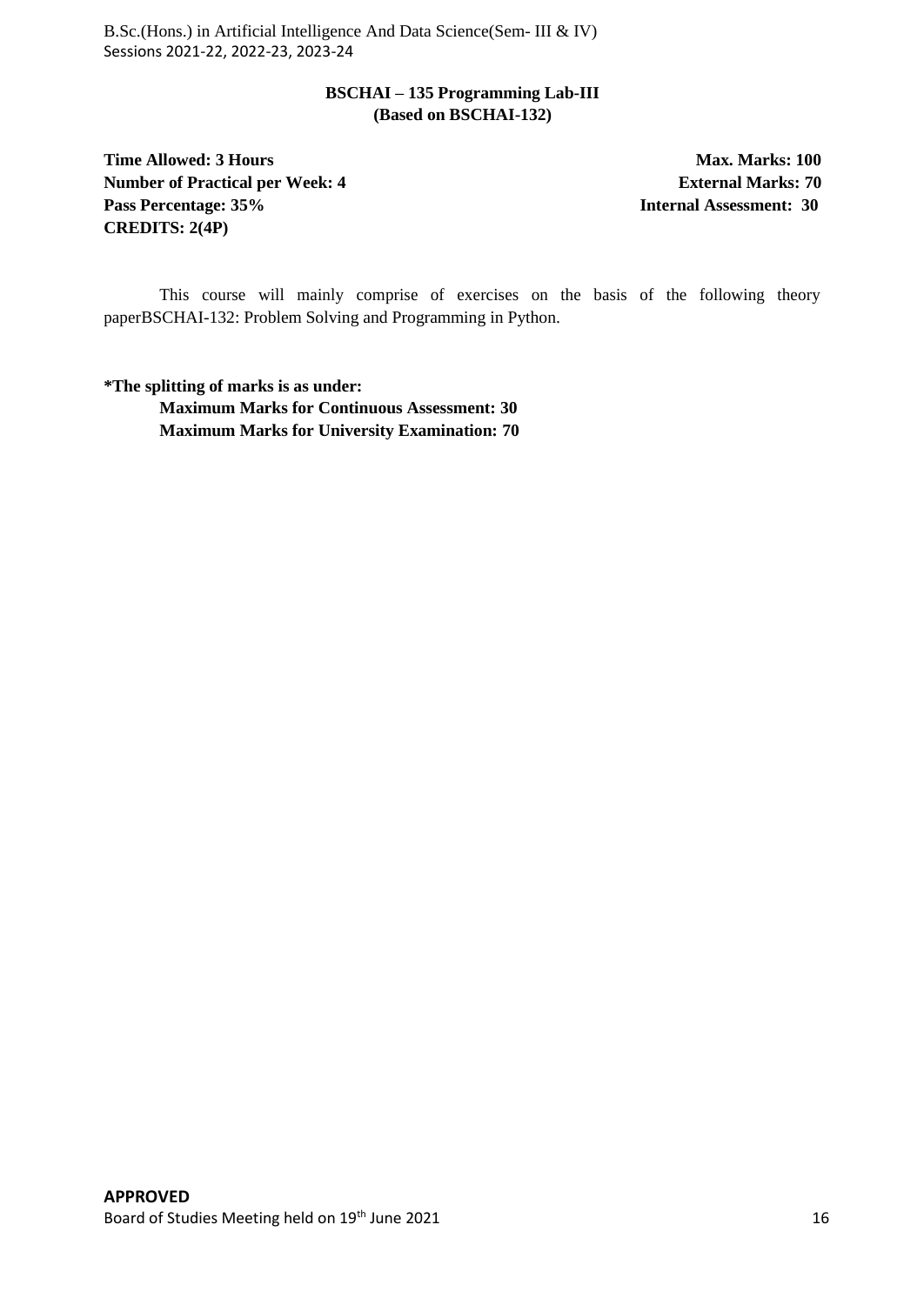# **BSCHAI – 135 Programming Lab-III (Based on BSCHAI-132)**

**Time Allowed: 3 Hours Max. Marks: 100 Max. Marks: 100 Number of Practical per Week: 4 External Marks: 70 Pass Percentage: 35% Internal Assessment: 30 CREDITS: 2(4P)**

This course will mainly comprise of exercises on the basis of the following theory paperBSCHAI-132: Problem Solving and Programming in Python.

**\*The splitting of marks is as under: Maximum Marks for Continuous Assessment: 30 Maximum Marks for University Examination: 70**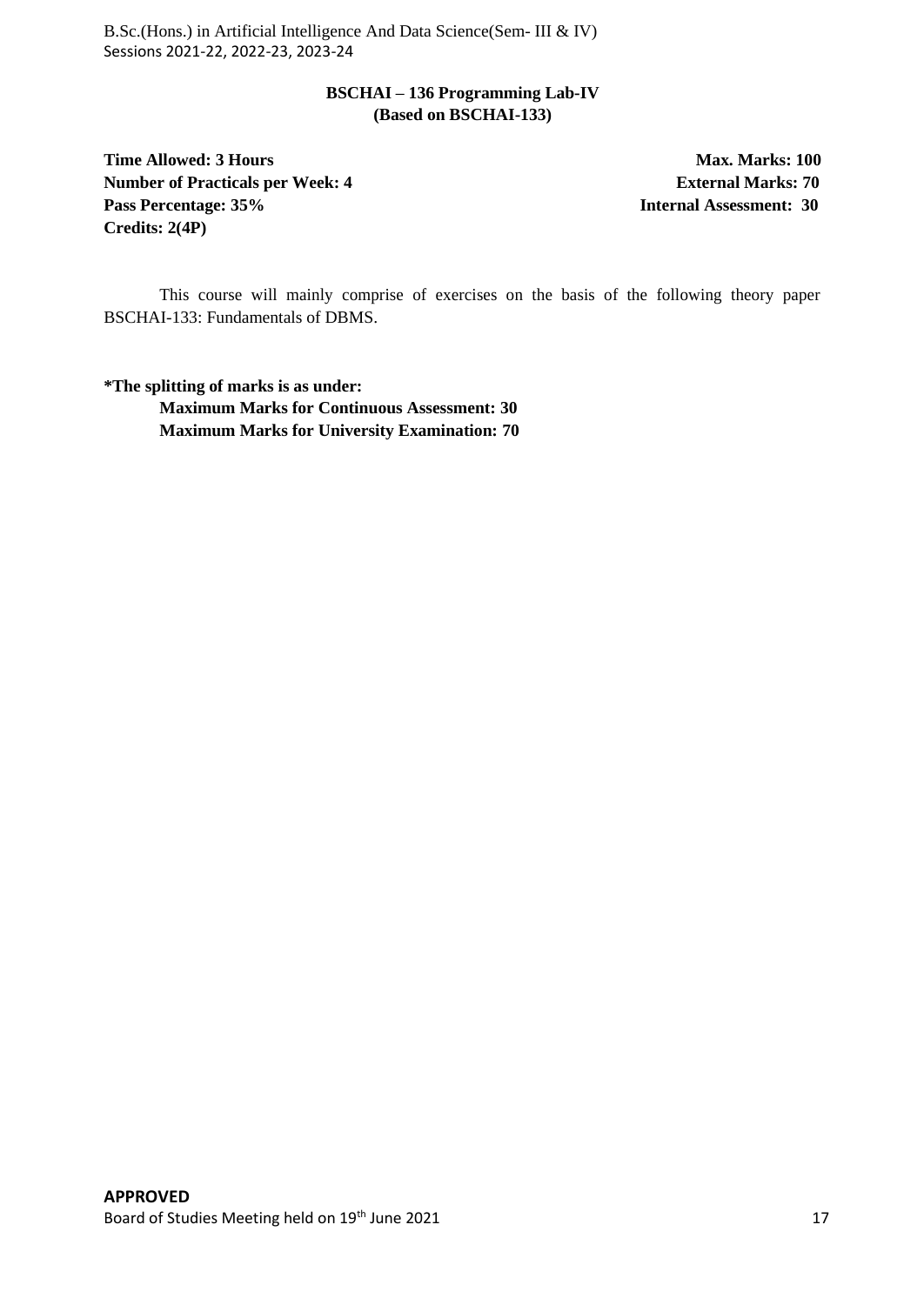# **BSCHAI – 136 Programming Lab-IV (Based on BSCHAI-133)**

**Time Allowed: 3 Hours Max. Marks: 100 Max. Marks: 100 Number of Practicals per Week: 4 <b>External Marks: 70 Pass Percentage: 35% Internal Assessment: 30 Credits: 2(4P)**

This course will mainly comprise of exercises on the basis of the following theory paper BSCHAI-133: Fundamentals of DBMS.

**\*The splitting of marks is as under: Maximum Marks for Continuous Assessment: 30 Maximum Marks for University Examination: 70**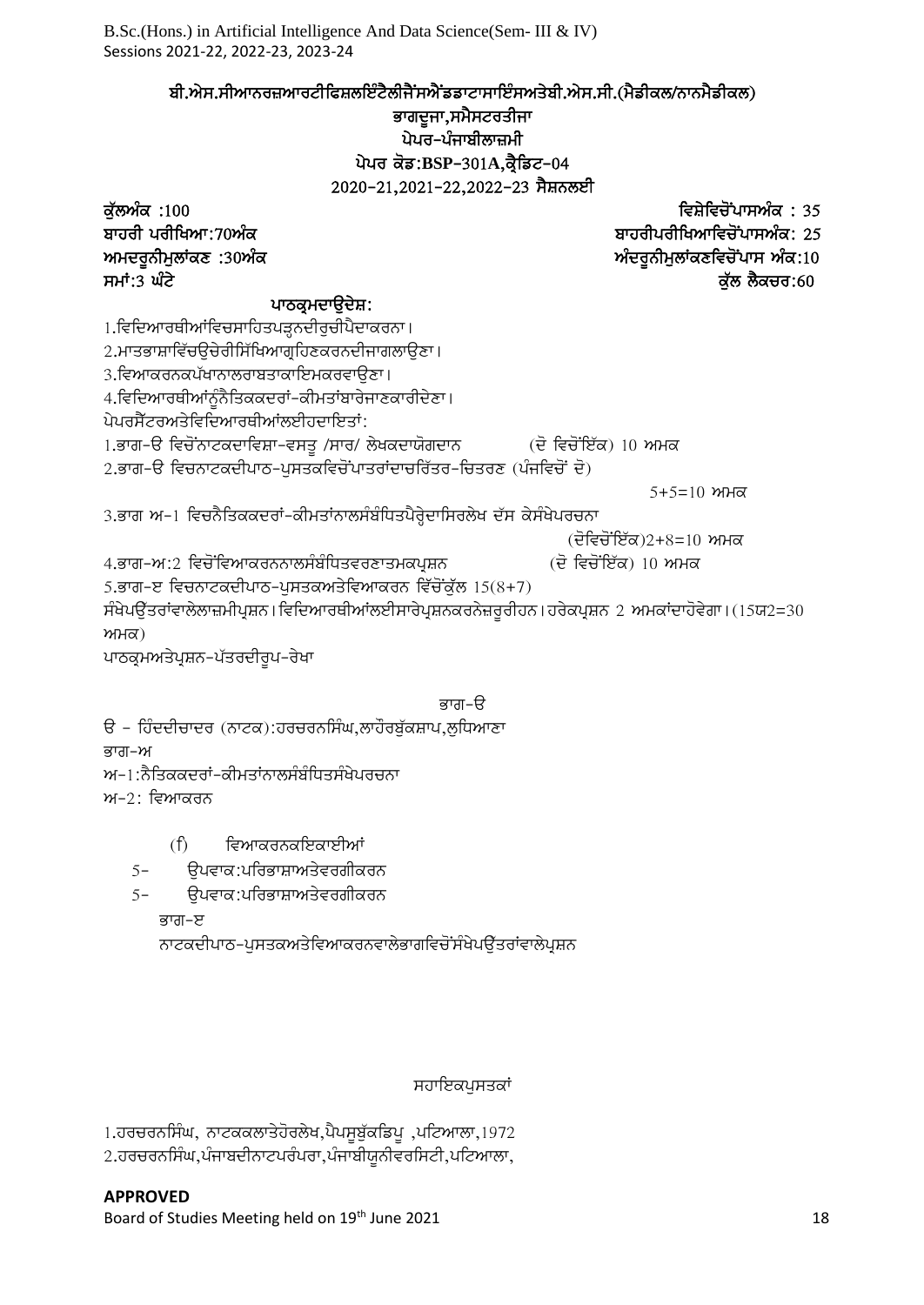ਬੀ.ਐਸ.ਸੀਆਨਰਜ਼ਆਰਟੀਫਿਸ਼ਲਇੰਟੈਲੀਜੈਂਸਐਂਡਡਾਟਾਸਾਇੰਸਅਤੇਬੀ.ਐਸ.ਸੀ.(ਮੈਡੀਕਲ/ਨਾਨਮੈਡੀਕਲ)

# ਭਾਗਦੂਜਾ,ਸਮੈਸਟਰਤੀਜਾ ਪੇਪਰ-ਪੰਜਾਬੀਲਾਜ਼ਮੀ ਪੇਪਰ ਕੋਡ:BSP-301A,ਕ੍ਰੈਡਿਟ-04

2020-21,2021-22,2022-23 ਸੈਸ਼ਨਲਈ ku`lAMk :100 ivSyivcoNpwsAMk : 35 ਬਾਹਰੀਪਰੀਖਿਆਵਿਚੋਂਪਾਸਅੰਕ: 25 ਅਮਦਰੂਨੀਮੁਲਾਂਕਣ :30ਅੰਕ ਕਰਨਾ ਨਾਲ ਕਰਦਿਆਰਾ ਦੀ ਸ਼ਹਿਰ ਅਮਦਰੂਨੀਮੁਲਾਂਕਣਵਿਚੋਂਪਾਸ ਅੰਕ:10 ਸਮਾਂ:3 ਘੰਟੋ  $\overline{c}$ ਰੱਲ ਲੋਕਚਰ:60 ਪਾਠਕ੍ਰਮਦਾਉਦੇਸ਼: 1.ਵਿਦਿਆਰਥੀਆਂਵਿਚਸਾਹਿਤਪੜ੍ਹਨਦੀਰੁਚੀਪੈਦਾਕਰਨਾ। 2.ਮਾਤਭਾਸ਼ਾਵਿੱਚੳਚੇਰੀਸਿੱਖਿਆਗਹਿਣਕਰਨਦੀਜਾਗਲਾੳਣਾ। 3.ਵਿਆਕਰਨਕਪੱਖਾਨਾਲਰਾਬਤਾਕਾਇਮਕਰਵਾਉਣਾ। 4.ਵਿਦਿਆਰਥੀਆਂਨੰਨੈਤਿਕਕਦਰਾਂ-ਕੀਮਤਾਂਬਾਰੇਜਾਣਕਾਰੀਦੇਣਾ। ਪੇਪਰਸੈੱਟਰਅਤੇਵਿਦਿਆਰਥੀਆਂਲਈਹਦਾਇਤਾਂ: 1.ਭਾਗ-ੳ ਵਿਚੋਂਨਾਟਕਦਾਵਿਸ਼ਾ-ਵਸਤੁ /ਸਾਰ/ ਲੇਖਕਦਾਯੋਗਦਾਨ (ਦੋ ਵਿਚੋਂਇੱਕ) 10 ਅਮਕ <u>2.ਭਾਗ-ੳ ਵਿਚਨਾਟਕਦੀਪਾਠ-ਪੁਸਤਕਵਿਚੋਂਪਾਤਰਾਂਦਾਚਰਿੱਤਰ-ਚਿਤਰਣ (ਪੰਜਵਿਚੋਂ ਦੋ)</u>  $5+5=10$  ਅਮਕ 3.ਭਾਗ ਅ–1 ਵਿਚਨੈਤਿਕਕਦਰਾਂ-ਕੀਮਤਾਂਨਾਲਸੰਬੰਧਿਤਪੈਰ੍ਹੇਦਾਸਿਰਲੇਖ ਦੱਸ ਕੇਸੰਖੇਪਰਚਨਾ  $(\vec{e}$ ਵਿਚੋਂਇੱਕ)2+8=10 ਅਮਕ 4.ਭਾਗ–ਅ:2 ਵਿਚੋਂਵਿਆਕਰਨਨਾਲਸੰਬੰਧਿਤਵਰਣਾਤਮਕਪ੍ਰਸ਼ਨ (ਦੋ ਵਿਚੋਂਇੱਕ) 10 ਅਮਕ 5.ਭਾਗ-ੲ ਵਿਚਨਾਟਕਦੀਪਾਠ-ਪਸਤਕਅਤੇਵਿਆਕਰਨ ਵਿੱਚੋਂਕੱਲ  $15(8+7)$ ਸੰਖੇਪਉੱਤਰਾਂਵਾਲੇਲਾਜ਼ਮੀਪ੍ਰਸ਼ਨ। ਵਿਦਿਆਰਥੀਆਂਲਈਸਾਰੇਪ੍ਰਸ਼ਨਕਰਨੇਜ਼ਰੂਰੀਹਨ। ਹਰੇਕਪ੍ਰਸ਼ਨ 2 ਅਮਕਾਂਦਾਹੋਵੇਗਾ। (15ਯ2=30  $m<sub>H</sub>(\alpha)$ ਪਾਠਕ੍ਰਮਅਤੇਪ੍ਰਸ਼ਨ-ਪੱਤਰਦੀਰੁਪ-ਰੇਖਾ ਭਾਗ–ੳ ਓ – ਹਿੰਦਦੀਚਾਦਰ (ਨਾਟਕ):ਹਰਚਰਨਸਿੰਘ,ਲਾਹੌਰਬੁੱਕਸ਼ਾਪ,ਲੁਧਿਆਣਾ

ਭਾਗ–ਅ

 $w$ –1:ਨੈਤਿਕਕਦਰਾਂ–ਕੀਮਤਾਂਨਾਲਸੰਬੰਧਿਤਸੰਖੇਪਰਚਨਾ

 $w-2$ : ਵਿਆਕਰਨ

(f) ਵਿਆਕਰਨਕਇਕਾਈਆਂ

5- ਉਪਵਾਕ:ਪਰਿਭਾਸ਼ਾਅਤੇਵਰਗੀਕਰਨ

5- ੳਪਵਾਕ:ਪਰਿਭਾਸ਼ਾਅਤੇਵਰਗੀਕਰਨ

ਭਾਗ–ੲ

ਨਾਟਕਦੀਪਾਠ–ਪੁਸਤਕਅਤੇਵਿਆਕਰਨਵਾਲੇਭਾਗਵਿਚੋਂਸੰਖੇਪਉੱਤਰਾਂਵਾਲੇਪੁਸ਼ਨ

# ਸਹਾਇਕਪਸਤਕਾਂ

1.ਹਰਚਰਨਸਿੰਘ, ਨਾਟਕਕਲਾਤੇਹੋਰਲੇਖ,ਪੈਪਸੁਬੁੱਕਡਿਪੁ ,ਪਟਿਆਲਾ,1972  $2.$ ਹਰਚਰਨਸਿੰਘ,ਪੰਜਾਬਦੀਨਾਟਪਰੰਪਰਾ,ਪੰਜਾਬੀਯੂਨੀਵਰਸਿਟੀ,ਪਟਿਆਲਾ,

# **APPROVED**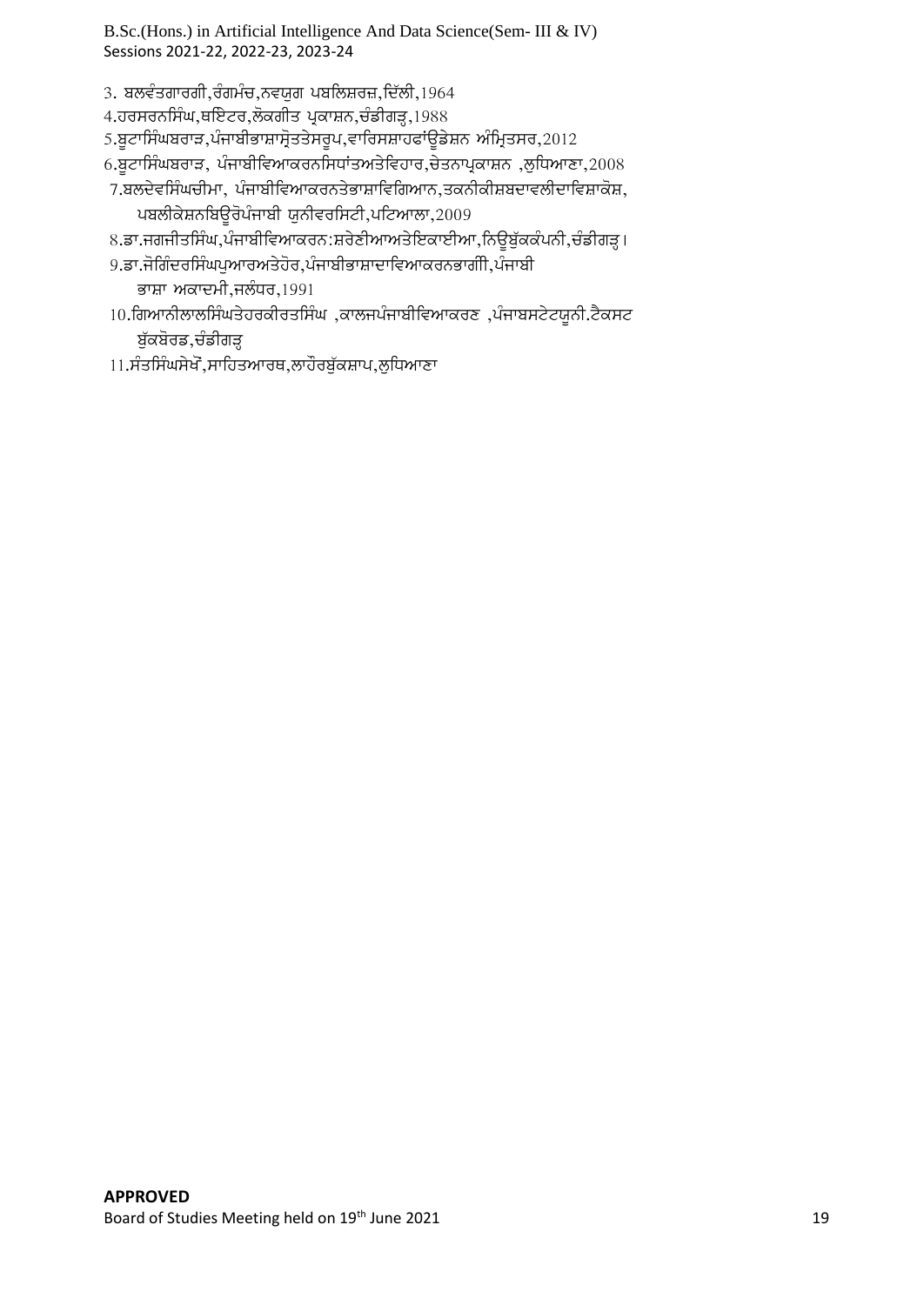- 3. ਬਲਵੰਤਗਾਰਗੀ,ਰੰਗਮੰਚ,ਨਵਯੁਗ ਪਬਲਿਸ਼ਰਜ਼,ਦਿੱਲੀ,1964
- 4.ਹਰਸਰਨਸਿੰਘ,ਥਇੇਟਰ,ਲੋਕਗੀਤ ਪ੍ਰਕਾਸ਼ਨ,ਚੰਡੀਗੜ੍ਹ,1988
- 5.ਬੂਟਾਸਿੰਘਬਰਾੜ,ਪੰਜਾਬੀਭਾਸ਼ਾਸ੍ਰੋਤਤੇਸਰੂਪ,ਵਾਰਿਸਸ਼ਾਹਫਾਂਊਡੇਸ਼ਨ ਅੰਮ੍ਰਿਤਸਰ,2012
- $6.$ ਬੁਟਾਸਿੰਘਬਰਾੜ, ਪੰਜਾਬੀਵਿਆਕਰਨਸਿਧਾਂਤਅਤੇਵਿਹਾਰ,ਚੇਤਨਾਪ੍ਰਕਾਸ਼ਨ ,ਲੁਧਿਆਣਾ,2008
- $7.$ ਬਲਦੇਵਸਿੰਘਚੀਮਾ, ਪੰਜਾਬੀਵਿਆਕਰਨਤੇਭਾਸ਼ਾਵਿਗਿਆਨ,ਤਕਨੀਕੀਸ਼ਬਦਾਵਲੀਦਾਵਿਸ਼ਾਕੋਸ਼, ਪਬਲੀਕੇਸ਼ਨਬਿਊਰੋਪੰਜਾਬੀ ਯੂਨੀਵਰਸਿਟੀ,ਪਟਿਆਲਾ,2009
- 8.ਡਾ.ਜਗਜੀਤਸਿੰਘ,ਪੰਜਾਬੀਵਿਆਕਰਨ:ਸ਼ਰੇਣੀਆਅਤੇਇਕਾਈਆ,ਨਿਉਬੁੱਕਕੰਪਨੀ,ਚੰਡੀਗੜ੍ਹ।
- 9.ਡਾ.ਜੋਗਿੰਦਰਸਿੰਘਪਆਰਅਤੇਹੋਰ,ਪੰਜਾਬੀਭਾਸ਼ਾਦਾਵਿਆਕਰਨਭਾਗੀੀ,ਪੰਜਾਬੀ

ਭਾਸ਼ਾ ਅਕਾਦਮੀ,ਜਲੰਧਰ, $1991$ 

- $10.$ ਗਿਆਨੀਲਾਲਸਿੰਘਤੇਹਰਕੀਰਤਸਿੰਘ,ਕਾਲਜਪੰਜਾਬੀਵਿਆਕਰਣ,ਪੰਜਾਬਸਟੇਟਯੂਨੀ.ਟੈਕਸਟ ਬੁੱਕਬੋਰਡ,ਚੰਡੀਗੜ੍ਹ
- 11.ਸੰਤਸਿੰਘਸੇਖੋ,ਸਾਹਿਤਆਰਥ,ਲਾਹੌਰਬੁੱਕਸ਼ਾਪ,ਲੁਧਿਆਣਾ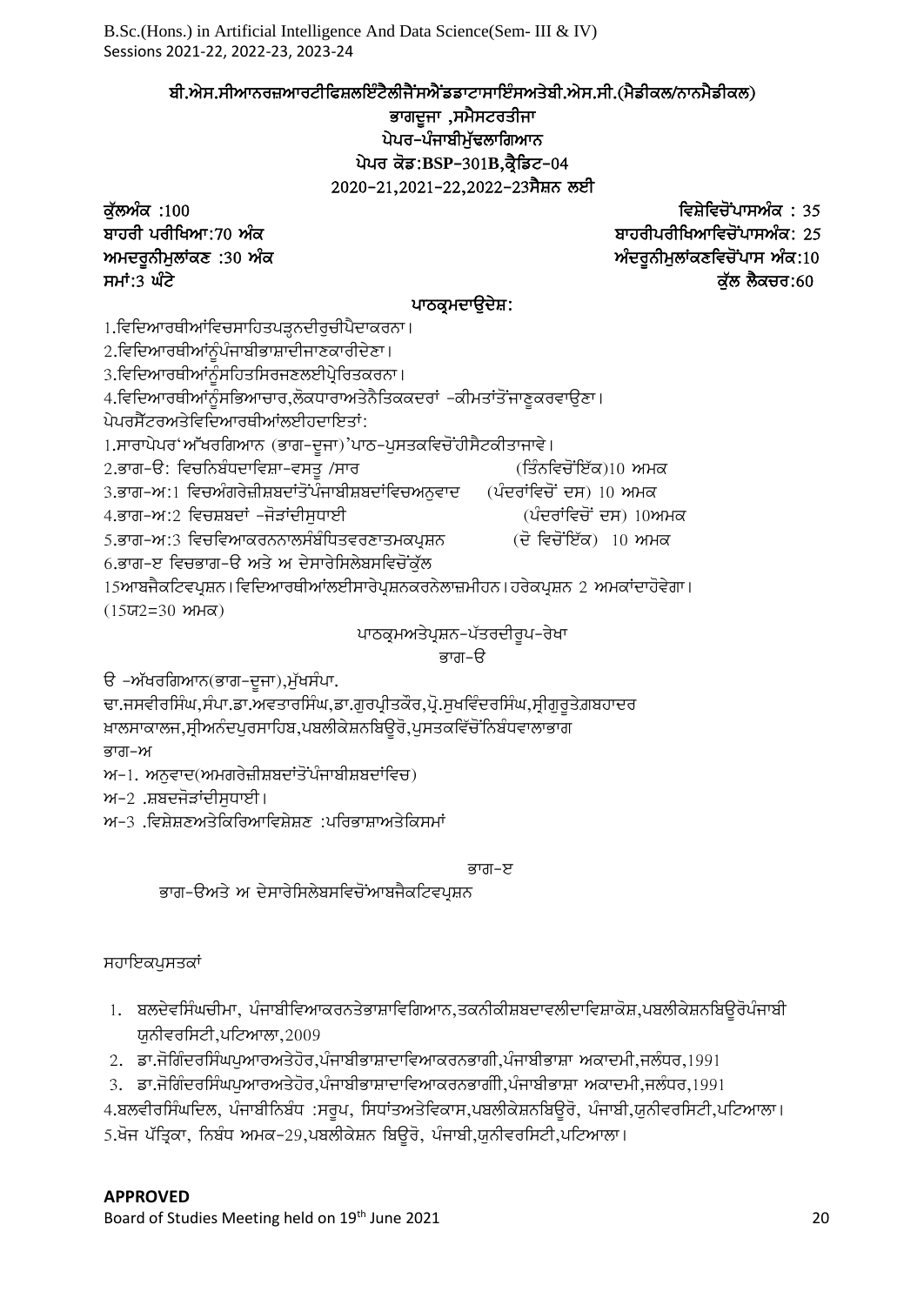ਬੀ.ਐਸ.ਸੀਆਨਰਜ਼ਆਰਟੀਫਿਸ਼ਲਇੰਟੈਲੀਜੈਂਸਐਂਡਡਾਟਾਸਾਇੰਸਅਤੇਬੀ.ਐਸ.ਸੀ.(ਮੈਡੀਕਲ/ਨਾਨਮੈਡੀਕਲ)

ਭਾਗਦੁਜਾ ,ਸਮੈਸਟਰਤੀਜਾ ਪੇਪਰ-ਪੰਜਾਬੀਮੁੱਢਲਾਗਿਆਨ ਪੇਪਰ ਕੋਡ:BSP-301B,ਕ੍ਰੈਡਿਟ-04 2020-21,2021-22,2022-23 ਸੈਸ਼ਨ ਲਈ

ku`lAMk :100 ivSyivcoNpwsAMk : 35 ਬਾਹਰੀਪਰੀਖਿਆਵਿਚੋਂਪਾਸਅੰਕ: 25 ਅਮਦਰੂਨੀਮੁਲਾਂਕਣ :30 ਅੰਕ ਕਰਨਾ ਕਰਨਾ ਨਾਲ ਸੰਬਰਾਨੀਅਨ ਅੰਦਰੂਨੀਮੁਲਾਂਕਣਵਿਚੋਂਪਾਸ ਅੰਕ:10 ਸਮਾਂ:3 ਘੰਟੋ $\vec{S}$ 

# ਪਾਠਕੁਮਦਾੳਦੇਸ਼:

1.ਵਿਦਿਆਰਥੀਆਂਵਿਚਸਾਹਿਤਪੜ੍ਹਨਦੀਰੁਚੀਪੈਦਾਕਰਨਾ।

 $2.$ ਵਿਦਿਆਰਥੀਆਂਨੂੰਪੰਜਾਬੀਭਾਸ਼ਾਦੀਜਾਣਕਾਰੀਦੇਣਾ।

 $3.$ ਵਿਦਿਆਰਥੀਆਂਨੂੰਸਹਿਤਸਿਰਜਣਲਈਪ੍ਰੇਰਿਤਕਰਨਾ।

4.ਵਿਦਿਆਰਥੀਆਂਨੂੰਸਭਿਆਚਾਰ,ਲੋਕਧਾਰਾਅਤੇਨੈਤਿਕਕਦਰਾਂ –ਕੀਮਤਾਂਤੋਂਜਾਣੁਕਰਵਾਉਣਾ।

 $\alpha$ ਪੇਪਰਸੈੱਟਰਅਤੇਵਿਦਿਆਰਥੀਆਂਲਈਹਦਾਇਤਾਂ:

1.ਸਾਰਾਪੇਪਰ'ਆੱਖਰਗਿਆਨ (ਭਾਗ–ਦੂਜਾ)'ਪਾਠ–ਪੁਸਤਕਵਿਚੋਂਹੀਸੈਟਕੀਤਾਜਾਵੇ।

2.ਭਾਗ-ੳ: ਵਿਚਨਿਬੰਧਦਾਵਿਸ਼ਾ-ਵਸਤੁ /ਸਾਰ (ਤਿੰਨਵਿਚੋਂਇੱਕ)10 ਅਮਕ

 $3.$ ਭਾਗ–ਅ $:1$  ਵਿਚਅੰਗਰੇਜ਼ੀਸ਼ਬਦਾਂਤੋਂ ਪੰਜਾਬੀਸ਼ਬਦਾਂਵਿਚਅਨੁਵਾਦ (ਪੰਦਰਾਂਵਿਚੋਂ ਦਸ)  $10$  ਅਮਕ

4.ਭਾਗ–ਅ:2 ਵਿਚਸ਼ਬਦਾਂ –ਜੋੜਾਂਦੀਸਧਾਈ (ਪੰਦਰਾਂਵਿਚੋਂ ਦਸ) 10ਅਮਕ

5.ਭਾਗ-ਅ:3 ਵਿਚਵਿਆਕਰਨਨਾਲਸੰਬੰਧਿਤਵਰਣਾਤਮਕਪਸ਼ਨ (ਦੋ ਵਿਚੋਂਇੱਕ) 10 ਅਮਕ

6.ਭਾਗ-ੲ ਵਿਚਭਾਗ-ੳ ਅਤੇ ਅ ਦੇਸਾਰੇਸਿਲੇਬਸਵਿਚੋਂਕੁੱਲ

15ਆਬਜੈਕਟਿਵਪੁਸ਼ਨ। ਵਿਦਿਆਰਥੀਆਂਲਈਸਾਰੇਪੁਸ਼ਨਕਰਨੇਲਾਜ਼ਮੀਹਨ। ਹਰੇਕਪੁਸ਼ਨ 2 ਅਮਕਾਂਦਾਹੋਵੇਗਾ।  $(15\pi2=30$  ਅਮਕ)

ਪਾਠਕ੍ਰਮਅਤੇਪ੍ਰਸ਼ਨ–ਪੱਤਰਦੀਰੁਪ–ਰੇਖਾ

ਭਾਗ–ੳ

ੳ –ਅੱਖਰਗਿਆਨ(ਭਾਗ–ਦੂਜਾ),ਮੁੱਖਸੰਪਾ.

ਢਾ.ਜਸਵੀਰਸਿੰਘ,ਸੰਪਾ.ਡਾ.ਅਵਤਾਰਸਿੰਘ,ਡਾ.ਗੁਰਪ੍ਰੀਤਕੌਰ,ਪ੍ਰੋ.ਸੁਖਵਿੰਦਰਸਿੰਘ,ਸ੍ਰੀਗੁਰੁਤੇਗ਼ਬਹਾਦਰ <sub>ਖ਼ਾਲਸਾਕਾਲਜ,ਸ੍ਰੀਅਨੰਦਪੁਰਸਾਹਿਬ,ਪਬਲੀਕੇਸ਼ਨਬਿਉਰੋ,ਪੁਸਤਕਵਿੱਚੋਂ ਨਿਬੰਧਵਾਲਾਭਾਗ</sub>

ਭਾਗ–ਅ

 $M-1$ . ਅਨੁਵਾਦ(ਅਮਗਰੇਜ਼ੀਸ਼ਬਦਾਂਤੋਂਪੰਜਾਬੀਸ਼ਬਦਾਂਵਿਚ)

 $M-2$  .ਸ਼ਬਦਜੋੜਾਂਦੀਸਧਾਈ।

 $w$ –3 .ਵਿਸ਼ੇਸ਼ਣਅਤੇਕਿਰਿਆਵਿਸ਼ੇਸ਼ਣ :ਪਰਿਭਾਸ਼ਾਅਤੇਕਿਸਮਾਂ

#### ਭਾਗ–ੲ

ਭਾਗ-ੳਅਤੇ ਅ ਦੇਸਾਰੇਸਿਲੇਬਸਵਿਚੋਂਆਬਜੈਕਟਿਵਪਸ਼ਨ

ਸਹਾਇਕਪਸਤਕਾਂ

- 1. ਬਲਦੇਵਸਿੰਘਚੀਮਾ, ਪੰਜਾਬੀਵਿਆਕਰਨਤੇਭਾਸ਼ਾਵਿਗਿਆਨ,ਤਕਨੀਕੀਸ਼ਬਦਾਵਲੀਦਾਵਿਸ਼ਾਕੋਸ਼,ਪਬਲੀਕੇਸ਼ਨਬਿਊਰੋਪੰਜਾਬੀ ਯੂਨੀਵਰਸਿਟੀ,ਪਟਿਆਲਾ,2009
- $2.$  ਡਾ.ਜੋਗਿੰਦਰਸਿੰਘਪਆਰਅਤੇਹੋਰ,ਪੰਜਾਬੀਭਾਸ਼ਾਦਾਵਿਆਕਰਨਭਾਗੀ,ਪੰਜਾਬੀਭਾਸ਼ਾ ਅਕਾਦਮੀ,ਜਲੰਧਰ,1991

3. ਡਾ.ਜੋਗਿੰਦਰਸਿੰਘਪਆਰਅਤੇਹੋਰ,ਪੰਜਾਬੀਭਾਸ਼ਾਦਾਵਿਆਕਰਨਭਾਗੀੀ,ਪੰਜਾਬੀਭਾਸ਼ਾ ਅਕਾਦਮੀ,ਜਲੰਧਰ,1991

4.ਬਲਵੀਰਸਿੰਘਦਿਲ, ਪੰਜਾਬੀਨਿਬੰਧ :ਸਰੂਪ, ਸਿਧਾਂਤਅਤੇਵਿਕਾਸ,ਪਬਲੀਕੇਸ਼ਨਬਿਊਰੋ, ਪੰਜਾਬੀ,ਯੂਨੀਵਰਸਿਟੀ,ਪਟਿਆਲਾ। 5.ਖੋਜ ਪੱਤਿਕਾ, ਨਿਬੰਧ ਅਮਕ-29,ਪਬਲੀਕੇਸ਼ਨ ਬਿੳਰੋ, ਪੰਜਾਬੀ,ਯਨੀਵਰਸਿਟੀ,ਪਟਿਆਲਾ।

# **APPROVED**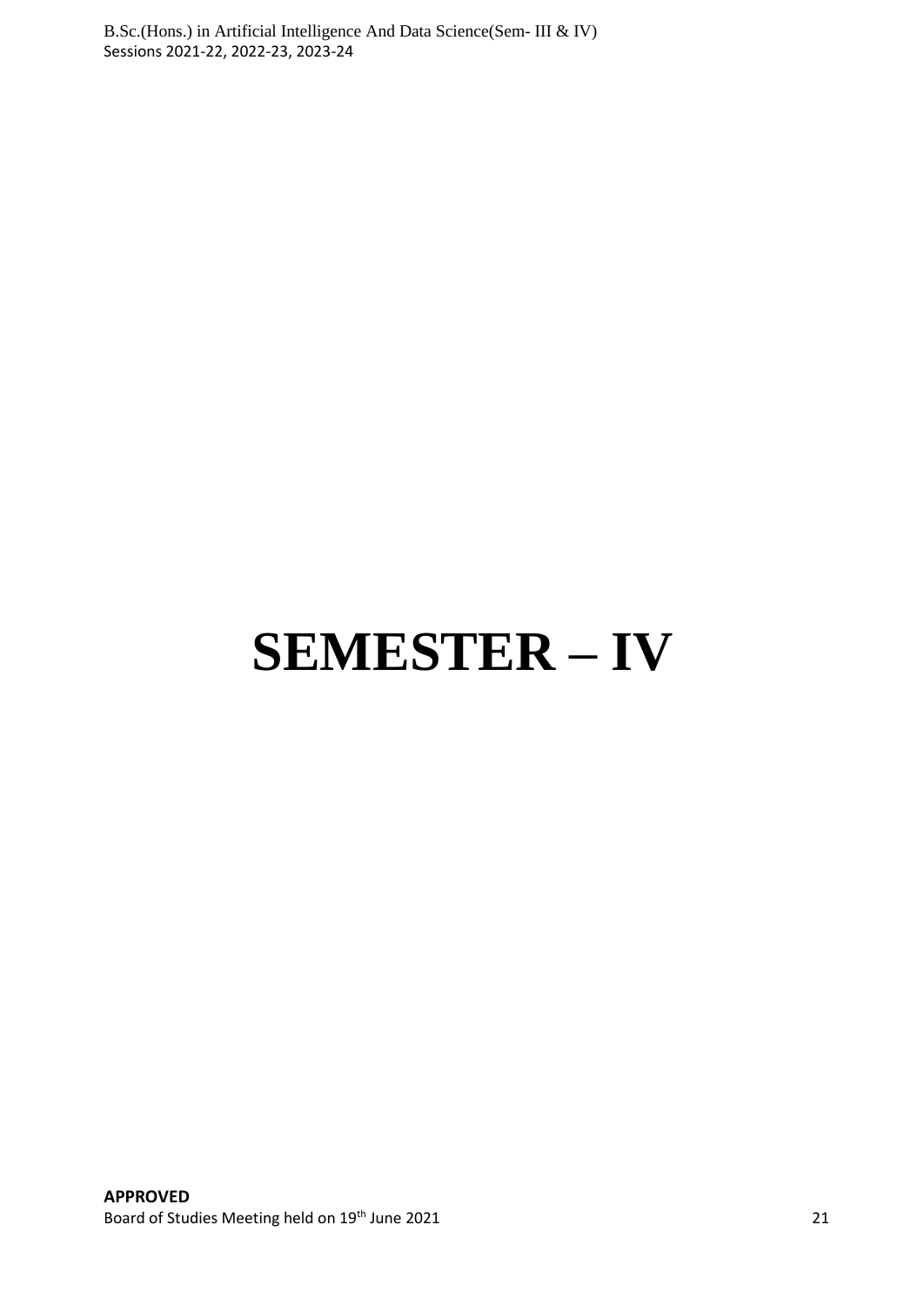# **SEMESTER – IV**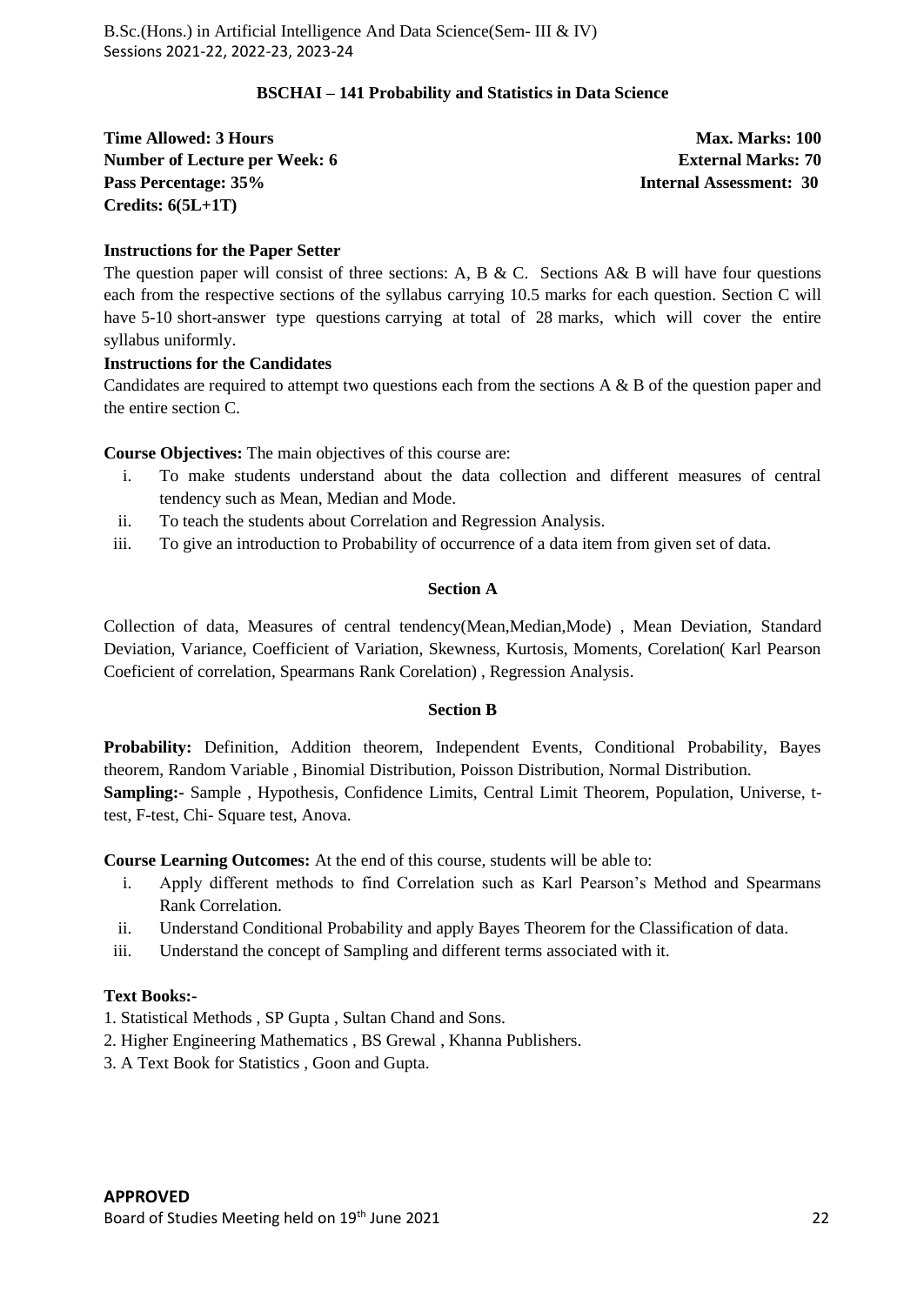#### **BSCHAI – 141 Probability and Statistics in Data Science**

**Time Allowed: 3 Hours Max. Marks: 100 Max. Marks: 100 Number of Lecture per Week: 6 External Marks: 70 Pass Percentage: 35% Internal Assessment: 30 Credits: 6(5L+1T)**

#### **Instructions for the Paper Setter**

The question paper will consist of three sections: A, B & C. Sections A& B will have four questions each from the respective sections of the syllabus carrying 10.5 marks for each question. Section C will have 5-10 short-answer type questions carrying at total of 28 marks, which will cover the entire syllabus uniformly.

#### **Instructions for the Candidates**

Candidates are required to attempt two questions each from the sections A & B of the question paper and the entire section C.

**Course Objectives:** The main objectives of this course are:

- i. To make students understand about the data collection and different measures of central tendency such as Mean, Median and Mode.
- ii. To teach the students about Correlation and Regression Analysis.
- iii. To give an introduction to Probability of occurrence of a data item from given set of data.

# **Section A**

Collection of data, Measures of central tendency(Mean,Median,Mode) , Mean Deviation, Standard Deviation, Variance, Coefficient of Variation, Skewness, Kurtosis, Moments, Corelation( Karl Pearson Coeficient of correlation, Spearmans Rank Corelation) , Regression Analysis.

#### **Section B**

Probability: Definition, Addition theorem, Independent Events, Conditional Probability, Bayes theorem, Random Variable , Binomial Distribution, Poisson Distribution, Normal Distribution. **Sampling:-** Sample , Hypothesis, Confidence Limits, Central Limit Theorem, Population, Universe, ttest, F-test, Chi- Square test, Anova.

**Course Learning Outcomes:** At the end of this course, students will be able to:

- i. Apply different methods to find Correlation such as Karl Pearson's Method and Spearmans Rank Correlation.
- ii. Understand Conditional Probability and apply Bayes Theorem for the Classification of data.
- iii. Understand the concept of Sampling and different terms associated with it.

#### **Text Books:-**

- 1. Statistical Methods , SP Gupta , Sultan Chand and Sons.
- 2. Higher Engineering Mathematics , BS Grewal , Khanna Publishers.
- 3. A Text Book for Statistics , Goon and Gupta.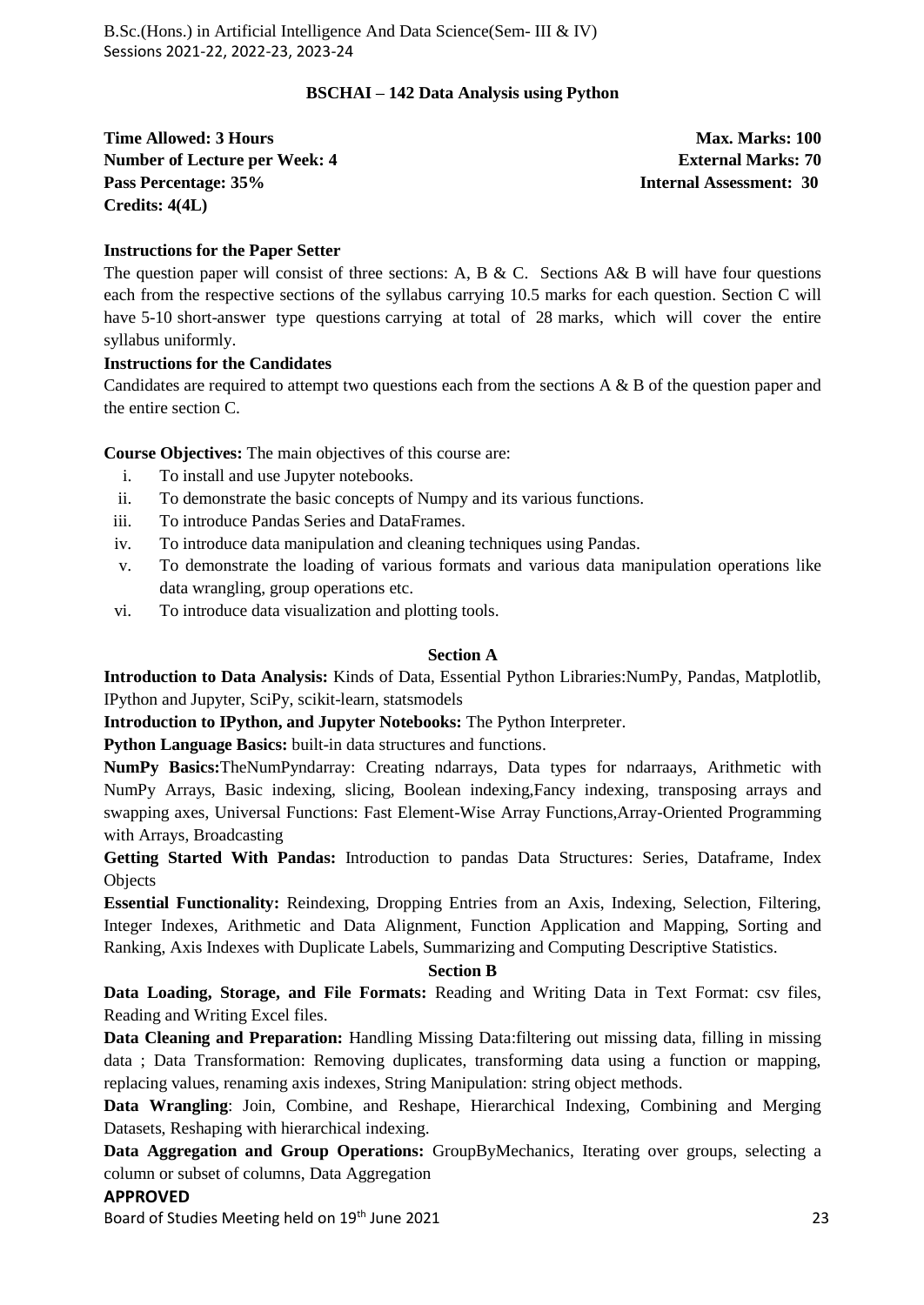#### **BSCHAI – 142 Data Analysis using Python**

**Time Allowed: 3 Hours Max. Marks: 100 Max. Marks: 100 Number of Lecture per Week: 4 2 | External Marks: 70 | External Marks: 70 | External Marks: 70 | External Marks: 70 | External Marks: 70 | External Marks: 70 | External Marks: 70 | External Marks: 70 | External Marks: 70 Pass Percentage: 35% Internal Assessment: 30 Credits: 4(4L)**

#### **Instructions for the Paper Setter**

The question paper will consist of three sections: A, B & C. Sections A& B will have four questions each from the respective sections of the syllabus carrying 10.5 marks for each question. Section C will have 5-10 short-answer type questions carrying at total of 28 marks, which will cover the entire syllabus uniformly.

# **Instructions for the Candidates**

Candidates are required to attempt two questions each from the sections A & B of the question paper and the entire section C.

**Course Objectives:** The main objectives of this course are:

- i. To install and use Jupyter notebooks.
- ii. To demonstrate the basic concepts of Numpy and its various functions.
- iii. To introduce Pandas Series and DataFrames.
- iv. To introduce data manipulation and cleaning techniques using Pandas.
- v. To demonstrate the loading of various formats and various data manipulation operations like data wrangling, group operations etc.
- vi. To introduce data visualization and plotting tools.

#### **Section A**

**Introduction to Data Analysis:** Kinds of Data, Essential Python Libraries:NumPy, Pandas, Matplotlib, IPython and Jupyter, SciPy, scikit-learn, statsmodels

**Introduction to IPython, and Jupyter Notebooks:** The Python Interpreter.

**Python Language Basics:** built-in data structures and functions.

**NumPy Basics:**TheNumPyndarray: Creating ndarrays, Data types for ndarraays, Arithmetic with NumPy Arrays, Basic indexing, slicing, Boolean indexing,Fancy indexing, transposing arrays and swapping axes, Universal Functions: Fast Element-Wise Array Functions,Array-Oriented Programming with Arrays, Broadcasting

**Getting Started With Pandas:** Introduction to pandas Data Structures: Series, Dataframe, Index **Objects** 

**Essential Functionality:** Reindexing, Dropping Entries from an Axis, Indexing, Selection, Filtering, Integer Indexes, Arithmetic and Data Alignment, Function Application and Mapping, Sorting and Ranking, Axis Indexes with Duplicate Labels, Summarizing and Computing Descriptive Statistics.

#### **Section B**

**Data Loading, Storage, and File Formats:** Reading and Writing Data in Text Format: csv files, Reading and Writing Excel files.

**Data Cleaning and Preparation:** Handling Missing Data:filtering out missing data, filling in missing data ; Data Transformation: Removing duplicates, transforming data using a function or mapping, replacing values, renaming axis indexes, String Manipulation: string object methods.

**Data Wrangling**: Join, Combine, and Reshape, Hierarchical Indexing, Combining and Merging Datasets, Reshaping with hierarchical indexing.

**Data Aggregation and Group Operations:** GroupByMechanics, Iterating over groups, selecting a column or subset of columns, Data Aggregation

#### **APPROVED**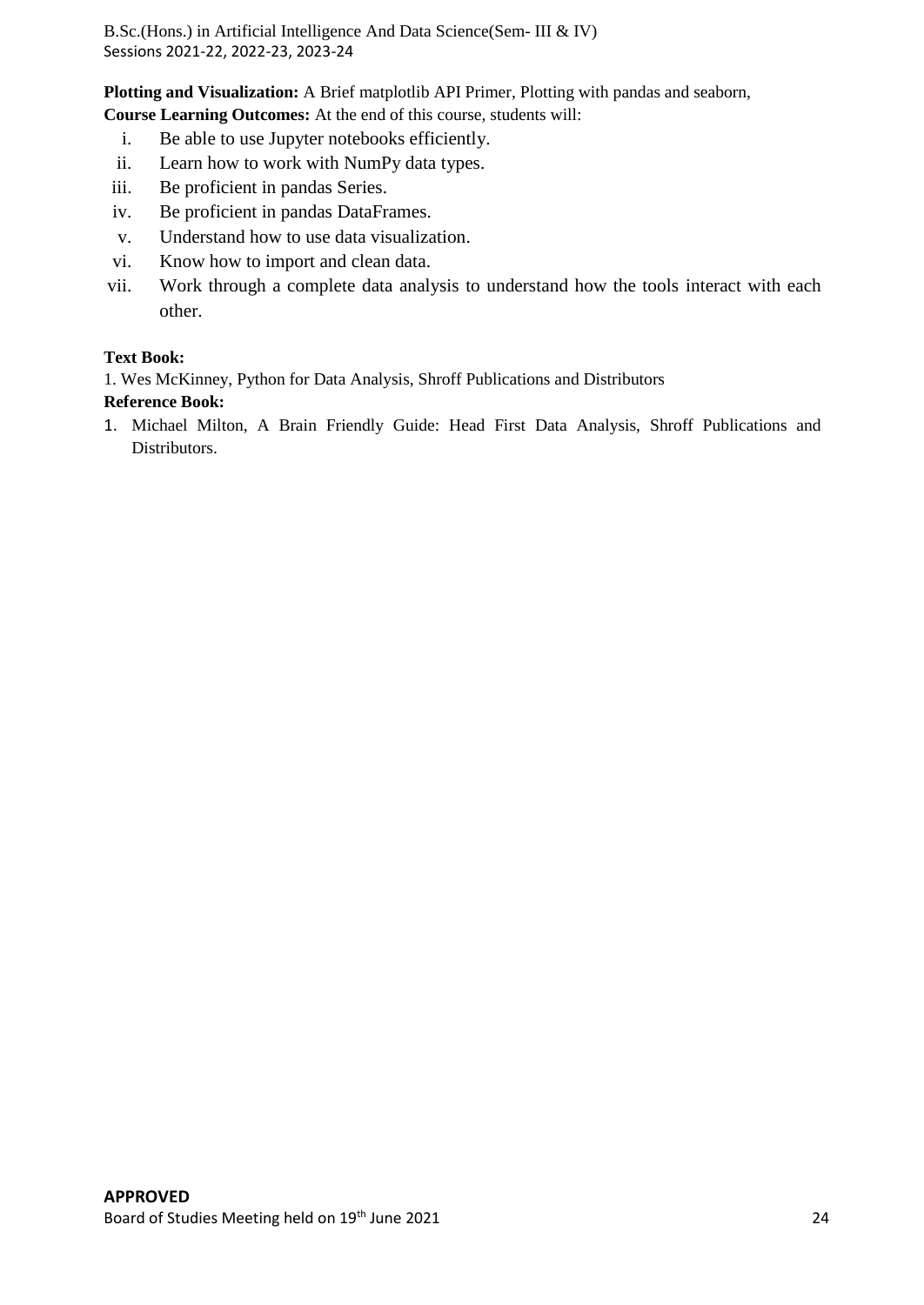**Plotting and Visualization:** A Brief matplotlib API Primer, Plotting with pandas and seaborn, **Course Learning Outcomes:** At the end of this course, students will:

- i. Be able to use Jupyter notebooks efficiently.
- ii. Learn how to work with NumPy data types.
- iii. Be proficient in pandas Series.
- iv. Be proficient in pandas DataFrames.
- v. Understand how to use data visualization.
- vi. Know how to import and clean data.
- vii. Work through a complete data analysis to understand how the tools interact with each other.

#### **Text Book:**

1. Wes McKinney, Python for Data Analysis, Shroff Publications and Distributors

#### **Reference Book:**

1. Michael Milton, A Brain Friendly Guide: Head First Data Analysis, Shroff Publications and Distributors.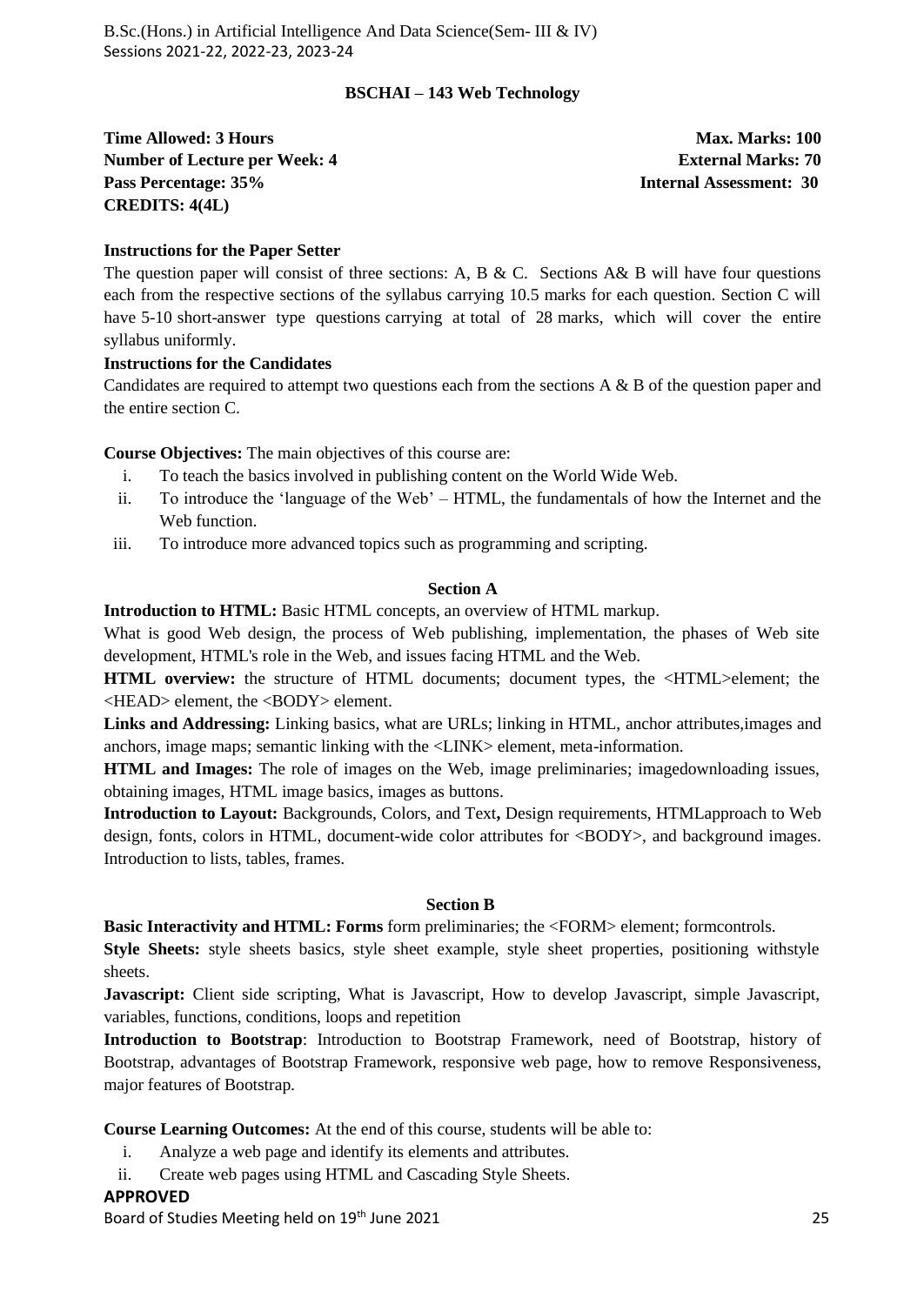#### **BSCHAI – 143 Web Technology**

**Time Allowed: 3 Hours Max. Marks: 100 Max. Marks: 100 Number of Lecture per Week: 4 2 | External Marks: 70 | External Marks: 70 | External Marks: 70 | External Marks: 70 | External Marks: 70 | External Marks: 70 | External Marks: 70 | External Marks: 70 | External Marks: 70 Pass Percentage: 35% Internal Assessment: 30 CREDITS: 4(4L)**

#### **Instructions for the Paper Setter**

The question paper will consist of three sections: A, B & C. Sections A& B will have four questions each from the respective sections of the syllabus carrying 10.5 marks for each question. Section C will have 5-10 short-answer type questions carrying at total of 28 marks, which will cover the entire syllabus uniformly.

#### **Instructions for the Candidates**

Candidates are required to attempt two questions each from the sections A & B of the question paper and the entire section C.

**Course Objectives:** The main objectives of this course are:

- i. To teach the basics involved in publishing content on the World Wide Web.
- ii. To introduce the 'language of the Web' HTML, the fundamentals of how the Internet and the Web function.
- iii. To introduce more advanced topics such as programming and scripting.

#### **Section A**

**Introduction to HTML:** Basic HTML concepts, an overview of HTML markup.

What is good Web design, the process of Web publishing, implementation, the phases of Web site development, HTML's role in the Web, and issues facing HTML and the Web.

**HTML overview:** the structure of HTML documents; document types, the <HTML>element; the <HEAD> element, the <BODY> element.

**Links and Addressing:** Linking basics, what are URLs; linking in HTML, anchor attributes,images and anchors, image maps; semantic linking with the <LINK> element, meta-information.

**HTML and Images:** The role of images on the Web, image preliminaries; imagedownloading issues, obtaining images, HTML image basics, images as buttons.

**Introduction to Layout:** Backgrounds, Colors, and Text**,** Design requirements, HTMLapproach to Web design, fonts, colors in HTML, document-wide color attributes for <BODY>, and background images. Introduction to lists, tables, frames.

#### **Section B**

**Basic Interactivity and HTML: Forms** form preliminaries; the <FORM> element; formcontrols.

**Style Sheets:** style sheets basics, style sheet example, style sheet properties, positioning withstyle sheets.

**Javascript:** Client side scripting, What is Javascript, How to develop Javascript, simple Javascript, variables, functions, conditions, loops and repetition

**Introduction to Bootstrap**: Introduction to Bootstrap Framework, need of Bootstrap, history of Bootstrap, advantages of Bootstrap Framework, responsive web page, how to remove Responsiveness, major features of Bootstrap.

**Course Learning Outcomes:** At the end of this course, students will be able to:

- i. Analyze a web page and identify its elements and attributes.
- ii. Create web pages using HTML and Cascading Style Sheets.

#### **APPROVED**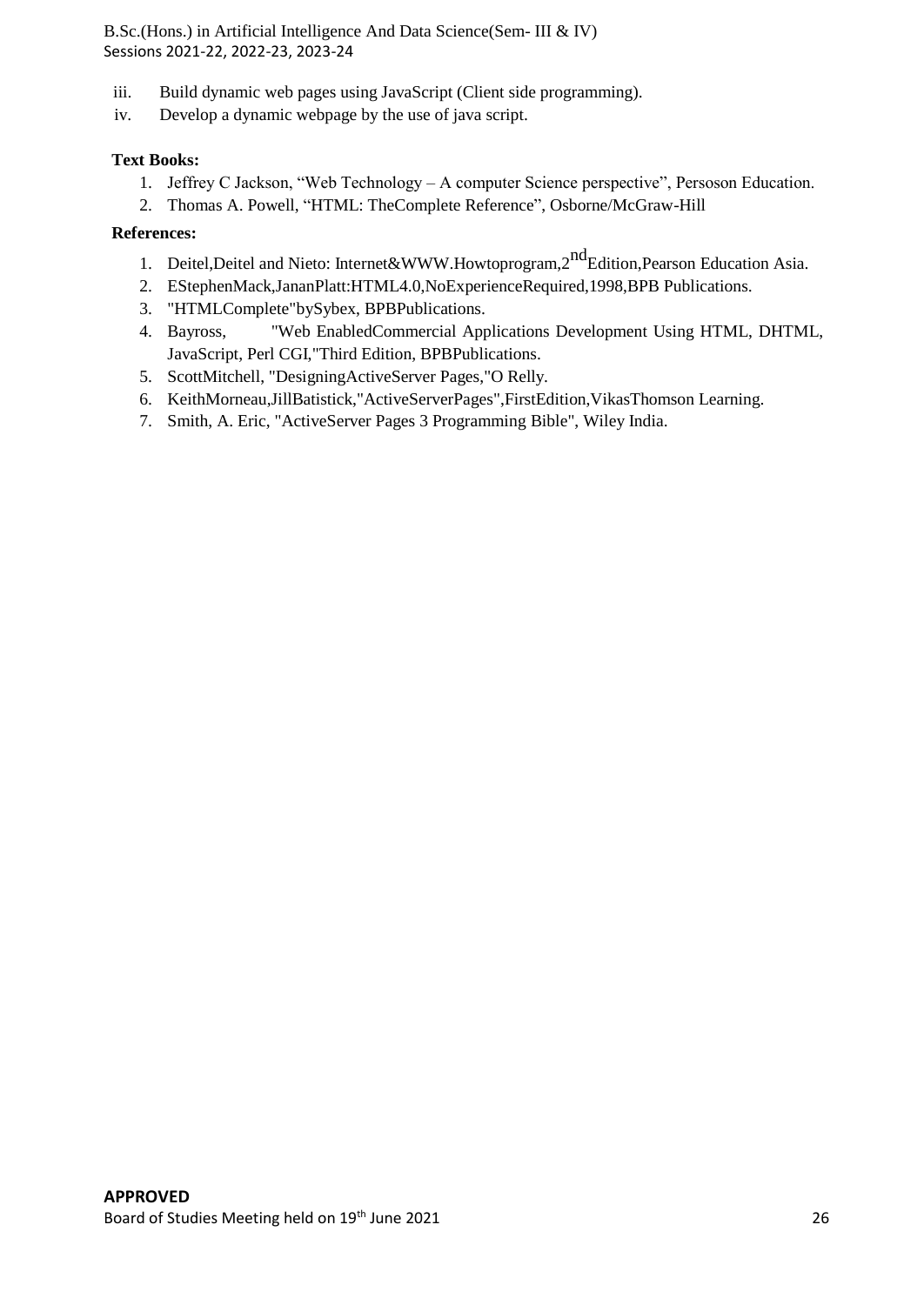- iii. Build dynamic web pages using JavaScript (Client side programming).
- iv. Develop a dynamic webpage by the use of java script.

# **Text Books:**

- 1. Jeffrey C Jackson, "Web Technology A computer Science perspective", Persoson Education.
- 2. Thomas A. Powell, "HTML: TheComplete Reference", Osborne/McGraw-Hill

# **References:**

- 1. Deitel, Deitel and Nieto: Internet[&WWW.H](http://www/)owtoprogram, 2<sup>nd</sup>Edition, Pearson Education Asia.
- 2. EStephenMack,JananPlatt:HTML4.0,NoExperienceRequired,1998,BPB Publications.
- 3. "HTMLComplete"bySybex, BPBPublications.
- 4. Bayross, "Web EnabledCommercial Applications Development Using HTML, DHTML, JavaScript, Perl CGI,"Third Edition, BPBPublications.
- 5. ScottMitchell, "DesigningActiveServer Pages,"O Relly.
- 6. KeithMorneau,JillBatistick,"ActiveServerPages",FirstEdition,VikasThomson Learning.
- 7. Smith, A. Eric, "ActiveServer Pages 3 Programming Bible", Wiley India.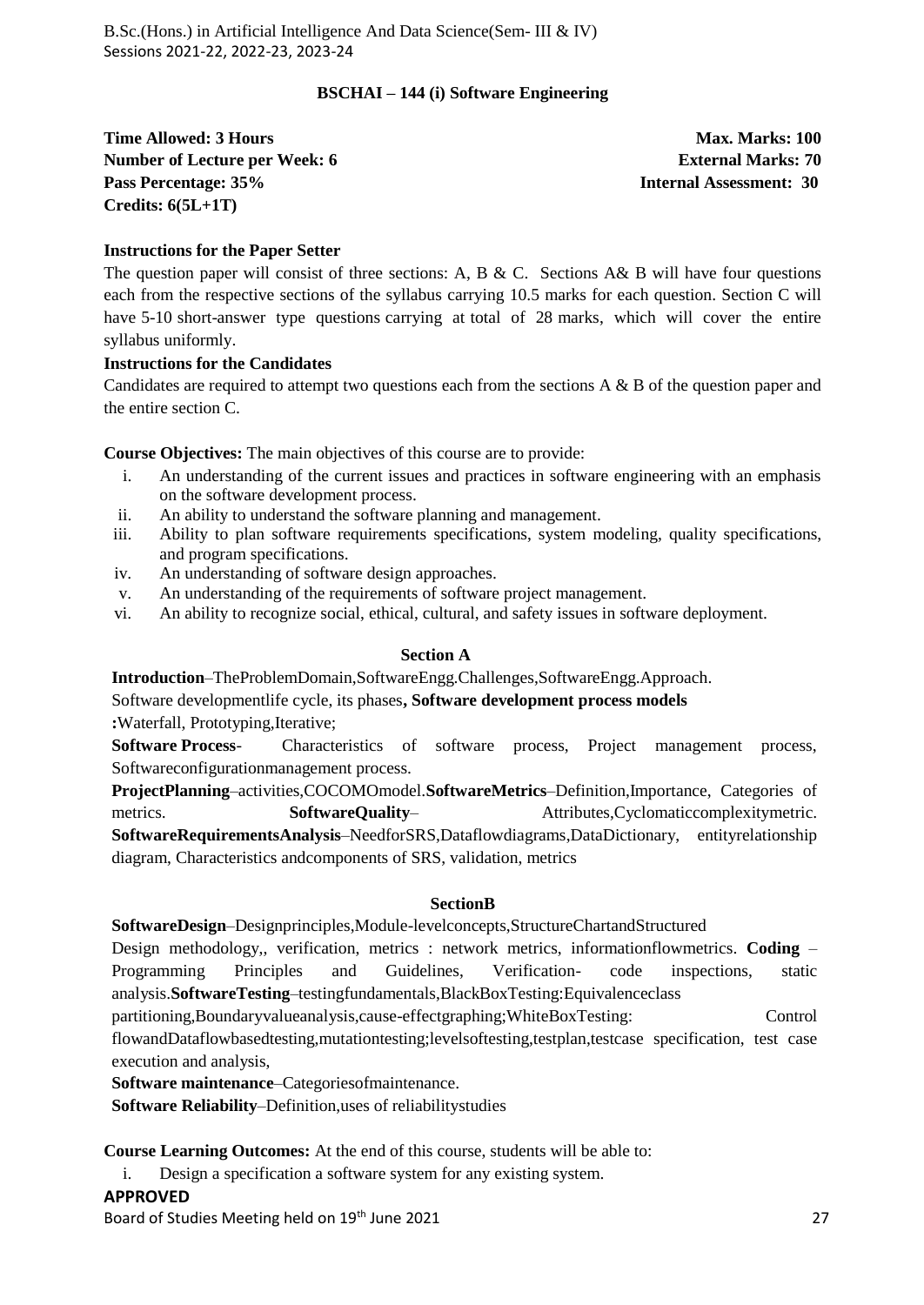#### **BSCHAI – 144 (i) Software Engineering**

**Time Allowed: 3 Hours Max. Marks: 100 Max. Marks: 100 Number of Lecture per Week: 6 <b>External Marks:** 70 **Pass Percentage: 35% Internal Assessment: 30 Credits: 6(5L+1T)**

#### **Instructions for the Paper Setter**

The question paper will consist of three sections: A, B & C. Sections A& B will have four questions each from the respective sections of the syllabus carrying 10.5 marks for each question. Section C will have 5-10 short-answer type questions carrying at total of 28 marks, which will cover the entire syllabus uniformly.

#### **Instructions for the Candidates**

Candidates are required to attempt two questions each from the sections A & B of the question paper and the entire section C.

**Course Objectives:** The main objectives of this course are to provide:

- i. An understanding of the current issues and practices in software engineering with an emphasis on the software development process.
- ii. An ability to understand the software planning and management.
- iii. Ability to plan software requirements specifications, system modeling, quality specifications, and program specifications.
- iv. An understanding of software design approaches.
- v. An understanding of the requirements of software project management.
- vi. An ability to recognize social, ethical, cultural, and safety issues in software deployment.

#### **Section A**

**Introduction**–TheProblemDomain,SoftwareEngg.Challenges,SoftwareEngg.Approach.

Software developmentlife cycle, its phases**, Software development process models**

**:**Waterfall, Prototyping,Iterative;

**Software Process**- Characteristics of software process, Project management process, Softwareconfigurationmanagement process.

**ProjectPlanning**–activities,COCOMOmodel.**SoftwareMetrics**–Definition,Importance, Categories of metrics. **SoftwareQuality**– Attributes,Cyclomaticcomplexitymetric. **SoftwareRequirementsAnalysis**–NeedforSRS,Dataflowdiagrams,DataDictionary, entityrelationship diagram, Characteristics andcomponents of SRS, validation, metrics

#### **SectionB**

**SoftwareDesign**–Designprinciples,Module-levelconcepts,StructureChartandStructured

Design methodology,, verification, metrics : network metrics, informationflowmetrics. **Coding** – Programming Principles and Guidelines, Verification- code inspections, static analysis.**SoftwareTesting**–testingfundamentals,BlackBoxTesting:Equivalenceclass

partitioning,Boundaryvalueanalysis,cause-effectgraphing;WhiteBoxTesting: Control

flowandDataflowbasedtesting,mutationtesting;levelsoftesting,testplan,testcase specification, test case execution and analysis,

**Software maintenance**–Categoriesofmaintenance.

**Software Reliability**–Definition,uses of reliabilitystudies

**Course Learning Outcomes:** At the end of this course, students will be able to:

i. Design a specification a software system for any existing system.

#### **APPROVED**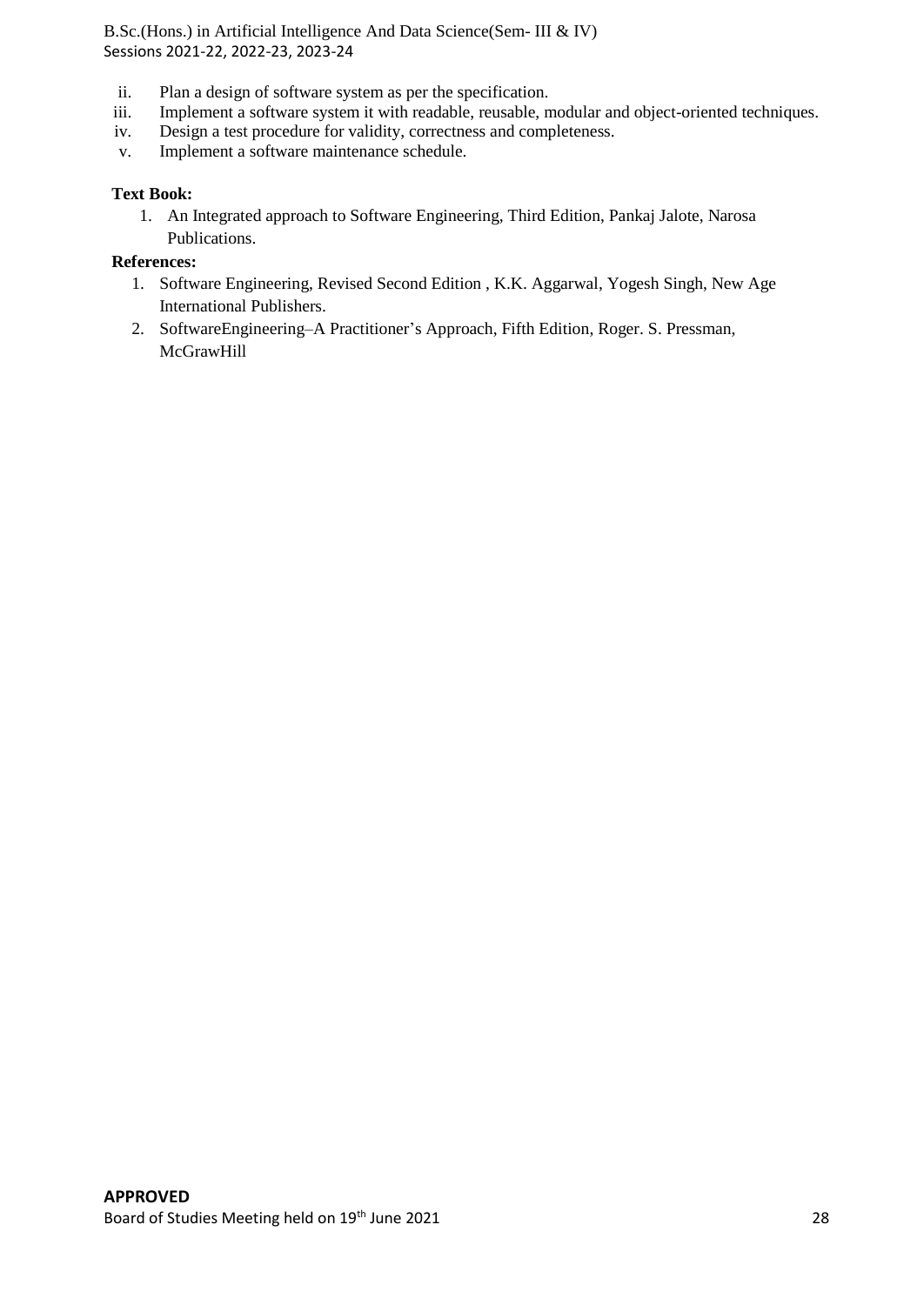- ii. Plan a design of software system as per the specification.<br>iii. Implement a software system it with readable, reusable, n
- iii. Implement a software system it with readable, reusable, modular and object-oriented techniques.<br>iv. Design a test procedure for validity, correctness and completeness.
- Design a test procedure for validity, correctness and completeness.
- v. Implement a software maintenance schedule.

#### **Text Book:**

1. An Integrated approach to Software Engineering, Third Edition, Pankaj Jalote, Narosa Publications.

# **References:**

- 1. Software Engineering, Revised Second Edition , K.K. Aggarwal, Yogesh Singh, New Age International Publishers.
- 2. SoftwareEngineering–A Practitioner's Approach, Fifth Edition, Roger. S. Pressman, **McGrawHill**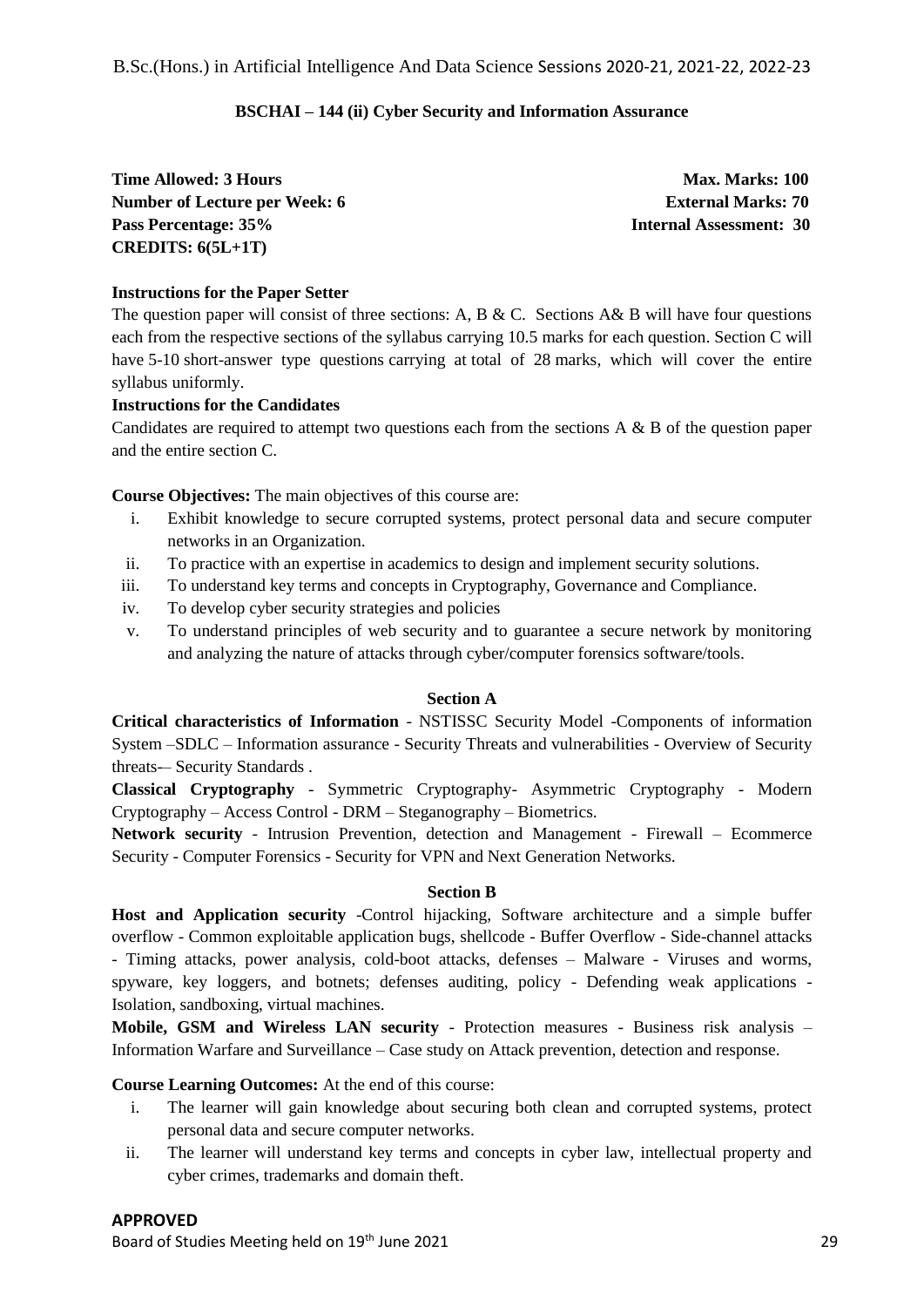#### **BSCHAI – 144 (ii) Cyber Security and Information Assurance**

**Time Allowed: 3 Hours Max. Marks: 100 Max. Marks: 100 Number of Lecture per Week: 6 External Marks: 70 Pass Percentage: 35% Internal Assessment: 30 CREDITS: 6(5L+1T)**

#### **Instructions for the Paper Setter**

The question paper will consist of three sections: A, B & C. Sections A& B will have four questions each from the respective sections of the syllabus carrying 10.5 marks for each question. Section C will have 5-10 short-answer type questions carrying at total of 28 marks, which will cover the entire syllabus uniformly.

#### **Instructions for the Candidates**

Candidates are required to attempt two questions each from the sections  $A \& B$  of the question paper and the entire section C.

**Course Objectives:** The main objectives of this course are:

- i. Exhibit knowledge to secure corrupted systems, protect personal data and secure computer networks in an Organization.
- ii. To practice with an expertise in academics to design and implement security solutions.
- iii. To understand key terms and concepts in Cryptography, Governance and Compliance.
- iv. To develop cyber security strategies and policies
- v. To understand principles of web security and to guarantee a secure network by monitoring and analyzing the nature of attacks through cyber/computer forensics software/tools.

#### **Section A**

**Critical characteristics of Information** - NSTISSC Security Model -Components of information System –SDLC – Information assurance - Security Threats and vulnerabilities - Overview of Security threats-– Security Standards.

**Classical Cryptography** - Symmetric Cryptography- Asymmetric Cryptography - Modern Cryptography – Access Control - DRM – Steganography – Biometrics.

**Network security** - Intrusion Prevention, detection and Management - Firewall – Ecommerce Security - Computer Forensics - Security for VPN and Next Generation Networks.

#### **Section B**

**Host and Application security** -Control hijacking, Software architecture and a simple buffer overflow - Common exploitable application bugs, shellcode - Buffer Overflow - Side-channel attacks - Timing attacks, power analysis, cold-boot attacks, defenses – Malware - Viruses and worms, spyware, key loggers, and botnets; defenses auditing, policy - Defending weak applications - Isolation, sandboxing, virtual machines.

**Mobile, GSM and Wireless LAN security** - Protection measures - Business risk analysis – Information Warfare and Surveillance – Case study on Attack prevention, detection and response.

**Course Learning Outcomes:** At the end of this course:

- i. The learner will gain knowledge about securing both clean and corrupted systems, protect personal data and secure computer networks.
- ii. The learner will understand key terms and concepts in cyber law, intellectual property and cyber crimes, trademarks and domain theft.

#### **APPROVED**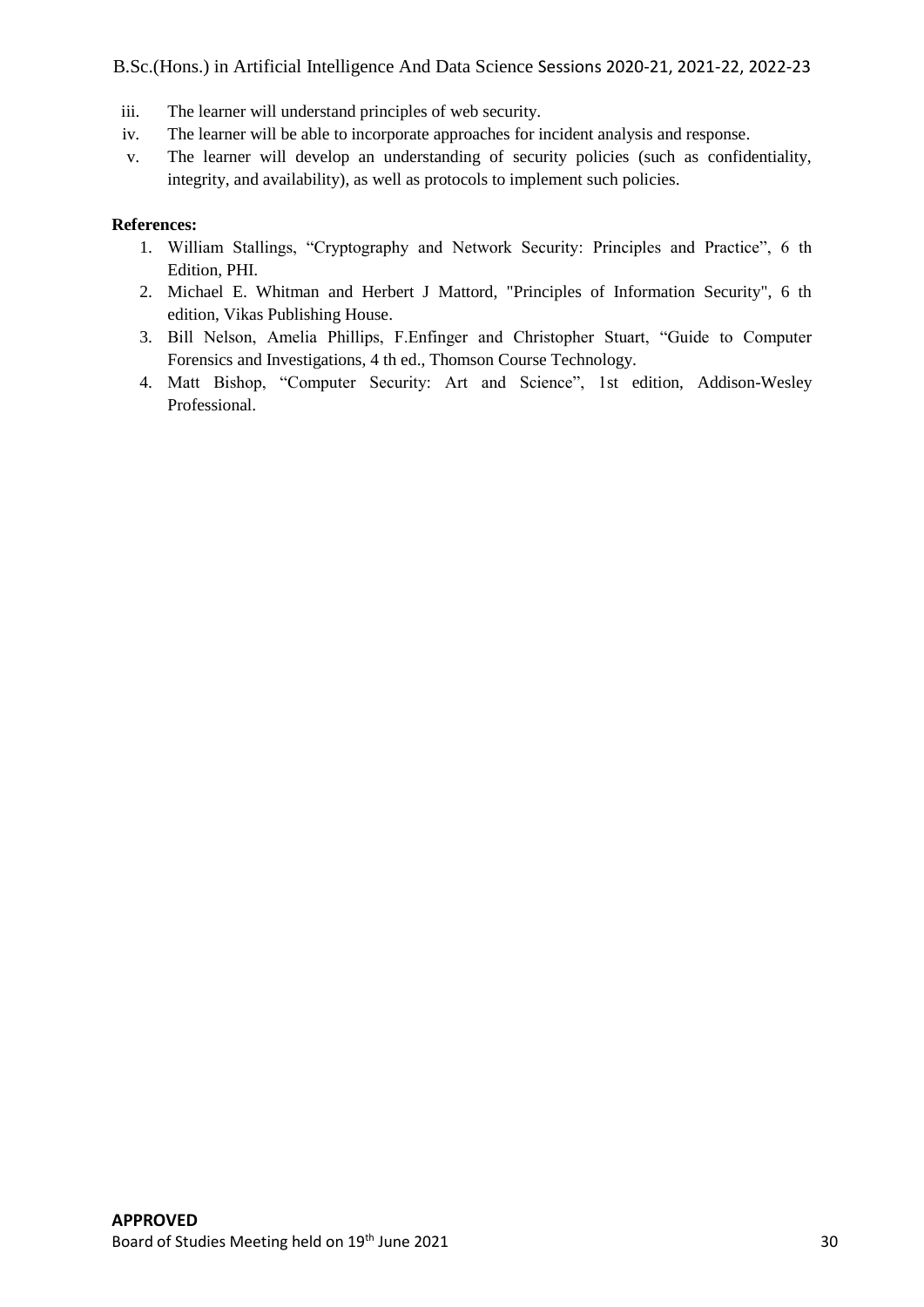- iii. The learner will understand principles of web security.
- iv. The learner will be able to incorporate approaches for incident analysis and response.
- v. The learner will develop an understanding of security policies (such as confidentiality, integrity, and availability), as well as protocols to implement such policies.

# **References:**

- 1. William Stallings, "Cryptography and Network Security: Principles and Practice", 6 th Edition, PHI.
- 2. Michael E. Whitman and Herbert J Mattord, "Principles of Information Security", 6 th edition, Vikas Publishing House.
- 3. Bill Nelson, Amelia Phillips, F.Enfinger and Christopher Stuart, "Guide to Computer Forensics and Investigations, 4 th ed., Thomson Course Technology.
- 4. Matt Bishop, "Computer Security: Art and Science", 1st edition, Addison-Wesley Professional.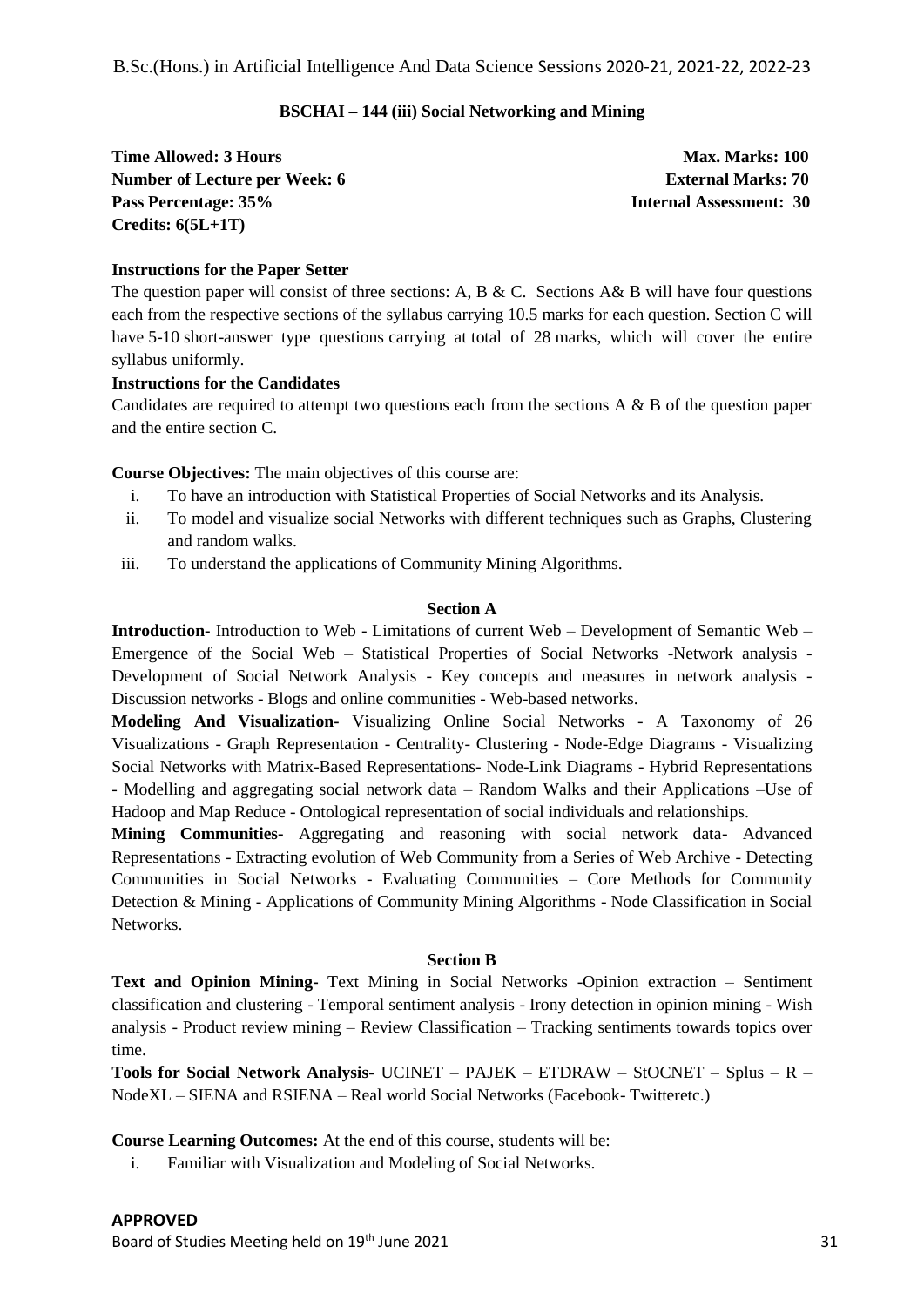#### **BSCHAI – 144 (iii) Social Networking and Mining**

**Time Allowed: 3 Hours Max. Marks: 100 Max. Marks: 100 Number of Lecture per Week: 6 External Marks: 70 Pass Percentage: 35% Internal Assessment: 30 Credits: 6(5L+1T)**

#### **Instructions for the Paper Setter**

The question paper will consist of three sections: A, B & C. Sections A& B will have four questions each from the respective sections of the syllabus carrying 10.5 marks for each question. Section C will have 5-10 short-answer type questions carrying at total of 28 marks, which will cover the entire syllabus uniformly.

#### **Instructions for the Candidates**

Candidates are required to attempt two questions each from the sections  $A \& B$  of the question paper and the entire section C.

**Course Objectives:** The main objectives of this course are:

- i. To have an introduction with Statistical Properties of Social Networks and its Analysis.
- ii. To model and visualize social Networks with different techniques such as Graphs, Clustering and random walks.
- iii. To understand the applications of Community Mining Algorithms.

#### **Section A**

**Introduction-** Introduction to Web - Limitations of current Web – Development of Semantic Web – Emergence of the Social Web – Statistical Properties of Social Networks -Network analysis - Development of Social Network Analysis - Key concepts and measures in network analysis - Discussion networks - Blogs and online communities - Web-based networks.

**Modeling And Visualization-** Visualizing Online Social Networks - A Taxonomy of 26 Visualizations - Graph Representation - Centrality- Clustering - Node-Edge Diagrams - Visualizing Social Networks with Matrix-Based Representations- Node-Link Diagrams - Hybrid Representations - Modelling and aggregating social network data – Random Walks and their Applications –Use of Hadoop and Map Reduce - Ontological representation of social individuals and relationships.

**Mining Communities-** Aggregating and reasoning with social network data- Advanced Representations - Extracting evolution of Web Community from a Series of Web Archive - Detecting Communities in Social Networks - Evaluating Communities – Core Methods for Community Detection & Mining - Applications of Community Mining Algorithms - Node Classification in Social Networks.

#### **Section B**

**Text and Opinion Mining-** Text Mining in Social Networks -Opinion extraction – Sentiment classification and clustering - Temporal sentiment analysis - Irony detection in opinion mining - Wish analysis - Product review mining – Review Classification – Tracking sentiments towards topics over time.

**Tools for Social Network Analysis-** UCINET – PAJEK – ETDRAW – StOCNET – Splus – R – NodeXL – SIENA and RSIENA – Real world Social Networks (Facebook- Twitteretc.)

**Course Learning Outcomes:** At the end of this course, students will be:

i. Familiar with Visualization and Modeling of Social Networks.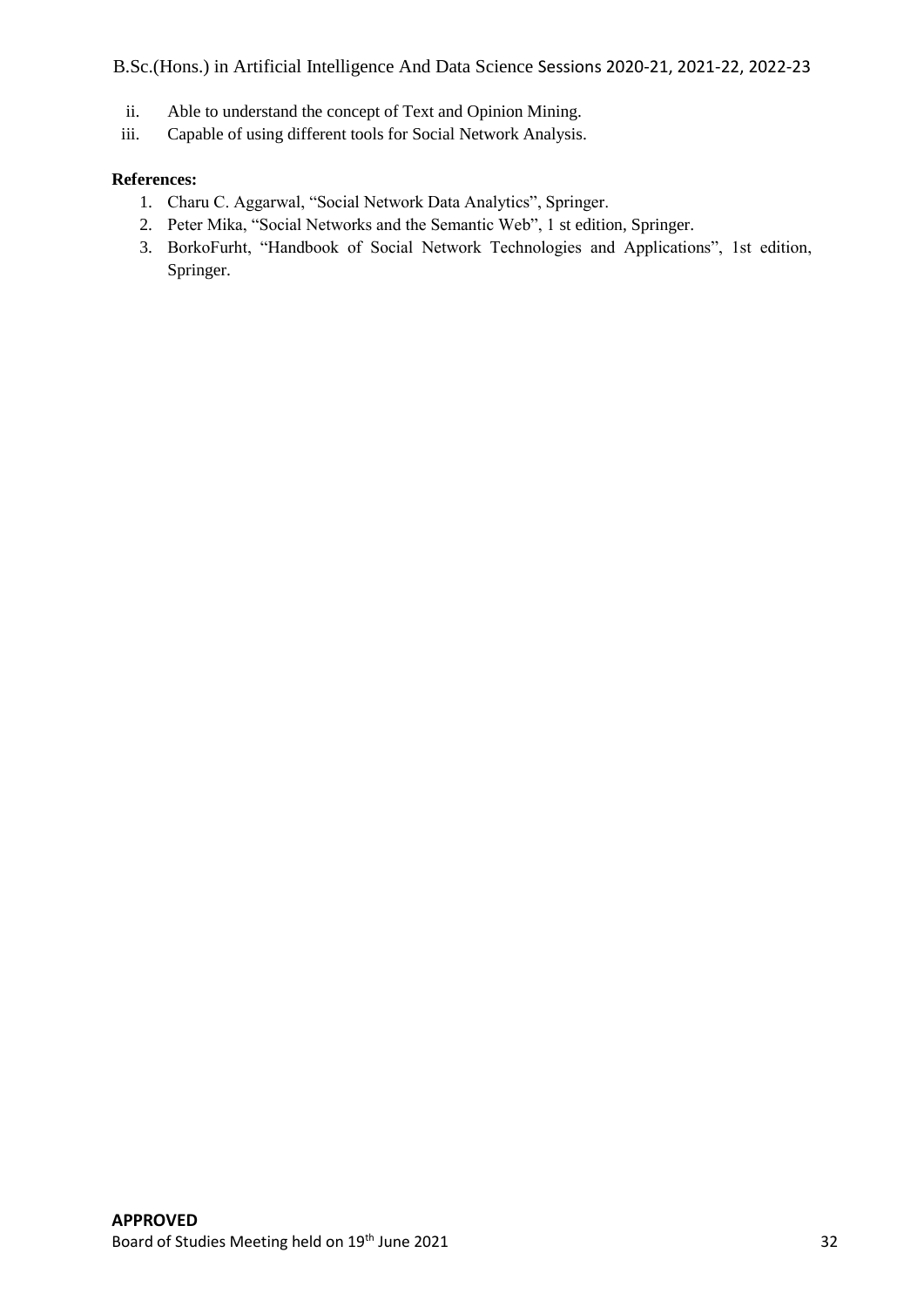B.Sc.(Hons.) in Artificial Intelligence And Data Science Sessions 2020-21, 2021-22, 2022-23

- ii. Able to understand the concept of Text and Opinion Mining.
- iii. Capable of using different tools for Social Network Analysis.

#### **References:**

- 1. Charu C. Aggarwal, "Social Network Data Analytics", Springer.
- 2. Peter Mika, "Social Networks and the Semantic Web", 1 st edition, Springer.
- 3. BorkoFurht, "Handbook of Social Network Technologies and Applications", 1st edition, Springer.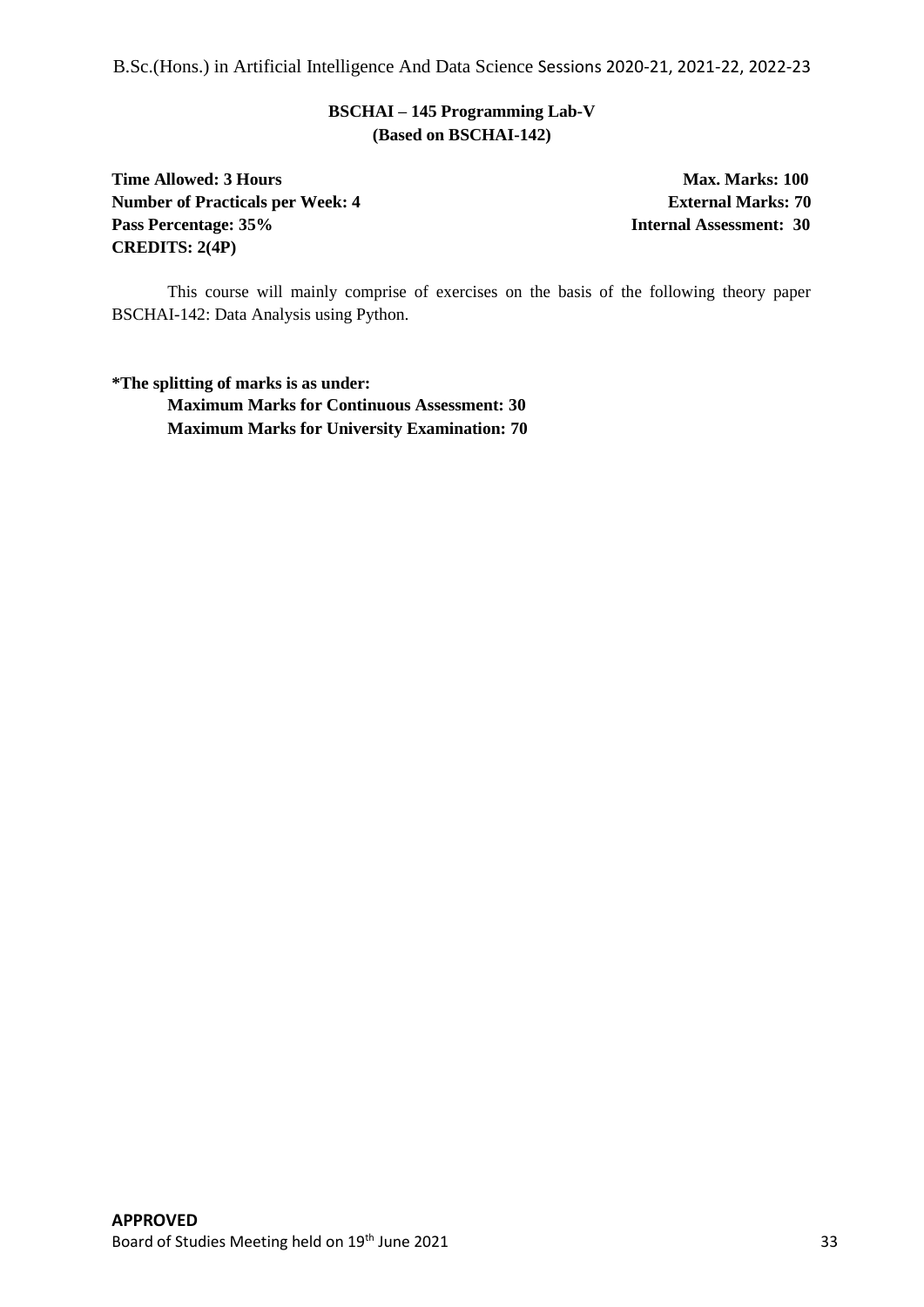B.Sc.(Hons.) in Artificial Intelligence And Data Science Sessions 2020-21, 2021-22, 2022-23

# **BSCHAI – 145 Programming Lab-V (Based on BSCHAI-142)**

**Time Allowed: 3 Hours Max. Marks: 100 Number of Practicals per Week: 4 <b>External Marks: 70 Pass Percentage: 35% Internal Assessment: 30 CREDITS: 2(4P)**

This course will mainly comprise of exercises on the basis of the following theory paper BSCHAI-142: Data Analysis using Python.

**\*The splitting of marks is as under: Maximum Marks for Continuous Assessment: 30 Maximum Marks for University Examination: 70**